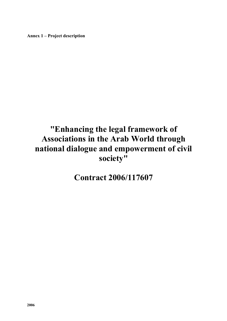**Annex 1 – Project description** 

# **"Enhancing the legal framework of Associations in the Arab World through national dialogue and empowerment of civil society"**

**Contract 2006/117607**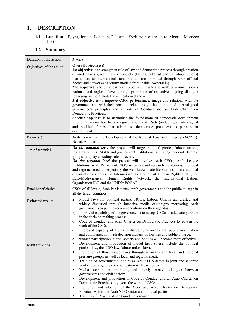# **1. DESCRIPTION**

**1.1 Location:** Egypt, Jordan, Lebanon, Palestine, Syria with outreach to Algeria, Morocco, Tunisia.

## **1.2 Summary**

| Duration of the action   | 3 years                                                                                                                                                                                                                                                                                                                                                                                                                                                                                                                                                                                                                                                                                                                                                                                                                                                                                                                                                                                                                                                                                       |  |  |  |  |  |
|--------------------------|-----------------------------------------------------------------------------------------------------------------------------------------------------------------------------------------------------------------------------------------------------------------------------------------------------------------------------------------------------------------------------------------------------------------------------------------------------------------------------------------------------------------------------------------------------------------------------------------------------------------------------------------------------------------------------------------------------------------------------------------------------------------------------------------------------------------------------------------------------------------------------------------------------------------------------------------------------------------------------------------------------------------------------------------------------------------------------------------------|--|--|--|--|--|
| Objectives of the action | Overall objective(s)<br>1st objective is to strengthen rule of law and democratic process through creation<br>of model laws governing civil society (NGOs, political parties, labour unions)<br>that adhere to international standards and are promoted through Arab official<br>bodies and networks as reform models from inside (ownership).<br>2nd objective is to build partnership between CSOs and Arab governments on a<br>national and regional level through promotion of an active ongoing dialogue<br>focussing on the 3 model laws mentioned above.<br>3rd objective is to improve CSOs performance, image and relations with the<br>government and with their constituencies through the adoption of internal good<br>governance's principles and a Code of Conduct and an Arab Charter on<br>Democratic Practices.<br>Specific objective is to strengthen the foundations of democratic development<br>through new coalition between government and CSOs (including all ideological<br>and political forces that adhere to democratic practices) as partners in<br>development. |  |  |  |  |  |
| Partner(s)               | Arab Centre for the Development of the Rule of Law and Integrity (ACRLI),<br>Beirut, Amman                                                                                                                                                                                                                                                                                                                                                                                                                                                                                                                                                                                                                                                                                                                                                                                                                                                                                                                                                                                                    |  |  |  |  |  |
| Target group(s)          | On the national level the project will target political parties, labour unions,<br>research centres, NGOs and government institutions, including moderate Islamic<br>groups that play a leading role in society.<br>On the regional level the project will involve Arab CSOs, Arab League<br>institutions, Arab Parliament, NGO networks and research institutions; the local<br>and regional media - especially the well-known satellite stations -; international<br>organisations such as the International Federation of Human Rights IFHR, the<br>Euro-Mediterranean Human Rights Network, the International Labour<br>Organisation ILO and the UNDP/POGAR.                                                                                                                                                                                                                                                                                                                                                                                                                              |  |  |  |  |  |
| Final beneficiaries      | CSOs of all levels, Arab Parliaments, Arab governments and the public at large in<br>all the target countries.                                                                                                                                                                                                                                                                                                                                                                                                                                                                                                                                                                                                                                                                                                                                                                                                                                                                                                                                                                                |  |  |  |  |  |
| <b>Estimated results</b> | Model laws for political parties, NGOs, Labour Unions are drafted and<br>a)<br>widely discussed through intensive media campaigns motivating Arab<br>governments to put the recommendations on their agendas.<br>Improved capability of the governments to accept CSOs as adequate partners<br>b)<br>in the decision making process.<br>Code of Conduct and Arab Charter on Democratic Practices to govern the<br>c)<br>work of the CSOs<br>Improved capacity of CSOs in dialogue, advocacy and public information<br>d)<br>and communication with decision makers, authorities and public at large.<br>women participation in civil society and politics will become more effective.<br>e)                                                                                                                                                                                                                                                                                                                                                                                                   |  |  |  |  |  |
| Main activities          | Development and production of model laws (these include the political<br>$\blacksquare$<br>parties' law, the NGO law, labour unions law).<br>Promotion of those model laws through advocacy and local and regional<br>$\blacksquare$<br>pressure groups, as well as local and regional media.<br>Training of governmental bodies as well as CS actors in joint and separate<br>٠<br>workshops targeting communication with each other.<br>Media support in promoting this newly created dialogue between<br>٠<br>governments and civil society.<br>Development and production of Code of Conduct and an Arab Charter on<br>٠<br>Democratic Practices to govern the work of CSOs.<br>Promotion and adoption of the Code and Arab Charter on Democratic<br>٠<br>Practices within the Arab NGO sector and political parties.<br>Training of CS activists on Good Governance<br>٠                                                                                                                                                                                                                 |  |  |  |  |  |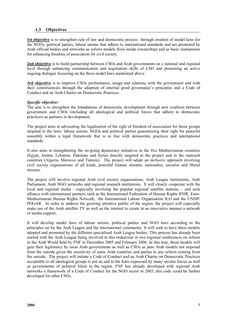## **1.3 Objectives**

**1st objective** is to strengthen rule of law and democratic process through creation of model laws for the NGOs, political parties, labour unions that adhere to international standards and are promoted by Arab official bodies and networks as reform models from inside (ownership) and as basic instruments for enhancing freedom of association for civil society.

**2nd objective** is to build partnership between CSOs and Arab governments on a national and regional level through enhancing communication and negotiation skills of CSO and promoting an active ongoing dialogue focussing on the three model laws mentioned above

**3rd objective** is to improve CSOs performance, image and relations with the government and with their constituencies through the adoption of internal good governance's principles and a Code of Conduct and an Arab Charter on Democratic Practices.

## *Specific objective:*

The aim is to strengthen the foundations of democratic development through new coalition between government and CSOs (including all ideological and political forces that adhere to democratic practices) as partners in development.

The project aims at advocating the legalisation of the right of freedom of association for those groups targeted in the laws: labour unions, NGOs and political parties guaranteeing their right for peaceful assembly within a legal framework that is in line with democratic practices and international standards.

It also aims at strengthening the on-going democracy initiatives in the five Mediterranean countries (Egypt, Jordan, Lebanon, Palestine and Syria) directly targeted in the project and in the outreach countries (Algeria, Morocco and Tunisia). The project will adopt an inclusive approach involving civil society organisations of all kinds, peaceful Islamic streams, nationalist, socialist and liberal streams.

The project will involve regional Arab civil society organisations, Arab League institutions, Arab Parliament, Arab NGO networks and regional research institutions. It will closely cooperate with the local and regional media - especially involving the popular regional satellite stations, - and seek alliance with international partners such as the International Federation of Human Rights IFHR, Euro-Mediterranean Human Rights Network, the International Labour Organisation ILO and the UNDP/ POGAR. In order to address the growing attentive public of the region, the project will especially make use of the Arab satellite TV as well as the internet to create in an innovative manner a network of media support.

It will develop model laws of labour unions, political parties and NGO laws according to the principles set by the Arab League and the International community. It will seek to have these models adopted and promoted by the different specialized Arab League bodies. This process has already been started with the Arab League being involved in this endeavour in two regional conferences on reform in the Arab World held by FNF in December 2005 and February 2006. In this way, these models will gain their legitimacy by most Arab governments as well as CSOs as pure Arab models not imposed from the outside given the sensitivity of some Arab countries and parties to any reform coming from the outside. The project will initiate a Code of Conduct and an Arab Charter on Democratic Practices acceptable to all ideological groups to put an end to the fears expressed by many secular forces as well as governments of political Islam in the region. FNF has already developed with regional Arab networks a framework of a Code of Conduct for the NGO sector in 2003, this code could be further developed for other CSOs.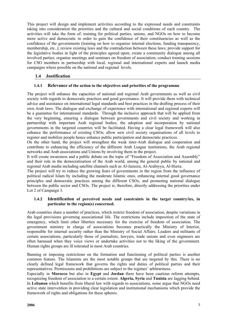This project will design and implement activities according to the expressed needs and constraints taking into consideration the priorities and the cultural and social conditions of each country. The activities will take the form of: training for political parties, unions, and NGOs on how to become more active and democratic in order to gain the confidence of their constituencies as well as the confidence of the governments (training on how to organize internal elections, funding transparency, membership, etc..); review existing laws and the contradiction between these laws; provide support for the legislative bodies in light of the principles agreed upon; create a community dialogue among all involved parties; organise meetings and seminars on freedom of association; conduct training sessions for CSO members in partnership with local, regional and international experts and launch media campaigns where possible on the national and regional levels.

## **1.4 Justification**

## **1.4.1 Relevance of the action to the objectives and priorities of the programme**

The project will enhance the capacities of national and regional Arab governments as well as civil society with regards to democratic practices and good governance. It will provide them with technical advice and assistance on international legal standards and best practices in the drafting process of their own Arab laws. The dialogue and exchange of experience with international and regional experts will be a guarantee for international standards. Through the inclusive approach that will be applied from the very beginning, ensuring a dialogue between governments and civil society and working in partnership with important Arab regional bodies, the adoption and incorporation by national governments in the targeted countries will be facilitated. Having a clear legal framework will also enhance the performance of existing CSOs; allow new civil society organisations of all levels to register and mobilize people hence enhance public participation and democratic practices.

On the other hand, the project will strengthen the weak inter-Arab dialogue and cooperation and contribute to enhancing the efficiency of the different Arab League institutions, the Arab regional networks and Arab associations and Unions by involving them in the project.

It will create awareness and a public debate on the topic of "Freedom of Association and Assembly" and their role in the democratization of the Arab world, among the general public by national and regional Arab media including satellite channels such as Al-Jazeera, Al-Arabiyya, Al-Hurra.

The project will try to reduce the growing fears of governments in the region from the influence of political radical Islam by including the moderate Islamic ones, enhancing internal good governance principles and democratic practices among the different CSOs, and promoting national dialogue between the public sector and CSOs. The project is, therefore, directly addressing the priorities under Lot 2 of Campaign 3.

## **1.4.2 Identification of perceived needs and constraints in the target country/ies, in particular in the region(s) concerned.**

Arab countries share a number of practices, which restrict freedom of association, despite variations in the legal provisions governing associational life. The restrictions include imposition of the state of emergency, which limit other liberties necessary for the exercise of freedom of association. The government ministry in charge of associations becomes practically the Ministry of Interior, responsible for internal security rather than the Ministry of Social Affairs. Leaders and militants of certain associations, particularly those of journalists, lawyers, trade unions and even engineers are often harassed when they voice views or undertake activities not to the liking of the government. Human rights groups are ill tolerated in most Arab countries.

Banning or imposing restrictions on the formation and functioning of political parties is another common feature. The Islamists are the most notable groups that are targeted by this. There is no clearly defined legal framework that governs the rights and duties of political parties and their representatives. Permissions and prohibitions are subject to the regimes' arbitrariness.

Especially in **Morocco** but also in **Egypt** and **Jordan** there have been cautious reform attempts, recognizing freedom of association to a certain extent. **Algeria, Syria** and **Tunisia** are lagging behind. In **Lebanon** which benefits from liberal law with regards to associations, some argue that NGOs need active state intervention in providing clear legislation and institutional mechanisms which provide the framework of rights and obligations for these spheres.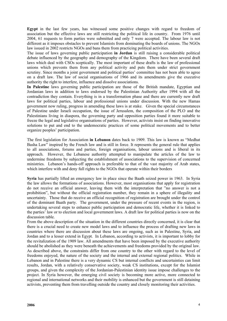**Egypt** in the last few years, has witnessed some positive changes with regard to freedom of association but the effective laws are still restricting the political life in country. From 1976 until 2004, 61 requests to form parties were submitted and only 7 were accepted. The labour law is not different as it imposes obstacles to prevent Islamists from dominating the boards of unions. The NGOs law issued in 2002 restricts NGOs and bans them from practicing political activities.

The issue of laws governing public participation **in Jordan** is still raising a considerable political debate influenced by the geography and demography of the Kingdom. There have been several draft laws which deal with CSOs sceptically. The most important of these drafts is the law of professional unions which prevents them from any political activity and puts them under strict government scrutiny. Since months a joint government and political parties' committee has not been able to agree on a draft law. The law of social organisations of 1966 and its amendments give the executive authority the right to interfere, influence and dissolve associations.

**In Palestine** laws governing public participation are those of the British mandate, Egyptian and Jordanian laws in addition to laws endorsed by the Palestinian Authority after 1994 with all the contradiction they contain. Everything is in a transformation phase and there are currently new draft laws for political parties, labour and professional unions under discussion. With the new Hamas government now ruling, progress in amending these laws is at stake. Given the special circumstances of Palestine under Israeli occupation, the issue of Jerusalem, the composition of the PLO and the Palestinians living in diaspora, the governing party and opposition parties found it more suitable to freeze the legal and legislative organisations of parties. However, activists insist on finding innovative solutions to put and end to the undemocratic practices of some political movements and to better organize peoples' participation.

The first legislation for Association **in Lebanon** dates back to 1909. This law is known as "Medhat Basha Law" inspired by the French law and is still in force. It represents the general rule that applies to all associations, forums and parties, foreign organisations, labour unions and is liberal in its approach. However, the Lebanese authority attempted to manipulate the articles of the law to undermine freedoms by subjecting the establishment of associations to the supervision of concerned ministries. Lebanon's hands-off approach is preferable to that of the vast majority of Arab states, which interfere with and deny full rights to the NGOs that operate within their borders

**Syria** has partially lifted an emergency law in place since the Baath seized power in 1963. In Syria the law allows the formations of associations. However, most organisations that apply for registration do not receive an official answer, leaving them with the interpretation that "no answer is not a prohibition", but without the official registration number, they remain in a sphere of illegality and uncertainty. Those that do receive an official recognition of registration are brought under the control of the dominant Baath party. The government, under the pressure of recent events in the region, is undertaking several steps to enhance public participation and democratic life, whether it is linked to the parties' law or to election and local government laws. A draft law for political parties is now on the discussion table.

From the above description of the situation in the different countries directly concerned, it is clear that there is a crucial need to create new model laws and to influence the process of drafting new laws in countries where there are discussion about these laws are ongoing, such as in Palestine, Syria, and Jordan and to a lesser extend in Egypt. In Lebanon, according to activists, it is important to lobby for the revitalization of the 1909 law. All amendments that have been imposed by the executive authority should be abolished as they were beneath the achievements and freedoms provided by the original law. As described above, the constraints differ from one country to the other with regard to the level of freedoms enjoyed, the nature of the society and the internal and external regional politics. While in Lebanon and in Palestine there is a very dynamic CS but internal conflicts and uncertainties can limit results, Jordan, with a relatively conservative society, weak CS institutions, except for the Islamist groups, and given the complexity of the Jordanian-Palestinian identity issue impose challenges to the project. In Syria however, the emerging civil society is becoming more active, more connected to regional and international networks and their mobility is enhanced but the government is still detaining activists, preventing them from travelling outside the country and closely monitoring their activities.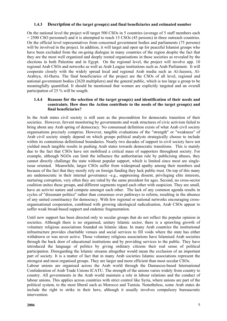## **1.4.3 Description of the target group(s) and final beneficiaries and estimated number**

On the national level the project will target 500 CSOs in 5 countries (average of 5 staff members each = 2500 CSO personnel) and it is attempted to reach 15 CSOs (45 persons) in three outreach countries. On the official level representatives from concerned government bodies and parliaments (75 persons) will be involved in the project. In addition, it will target and open up for peaceful Islamist groups who have been excluded from the on-going dialogue in many countries of the region despite the fact that they are the most well organized and deeply rooted organisations in these societies as revealed by the elections in both Palestine and in Egypt. On the regional level, the project will involve app. 10 regional Arab CSOs and networks as well as Arab League institutions such as Arab Parliament. It will cooperate closely with the widely spread local and regional Arab media such as Al-Jazeera, Al-Arabiya, Al-Hurra. The final beneficiaries of the project are the CSOs of all level, regional and national government bodies (2620 multipliers) and the general public, which is too large a group to be meaningfully quantified. It should be mentioned that women are explicitly targeted and an overall participation of 25 % will be sougth.

## **1.4.4 Reasons for the selection of the target group(s) and identification of their needs and constraints. How does the Action contribute to the needs of the target group(s) and final beneficiaries?**

In the Arab states civil society is still seen as the precondition for democratic transition of their societies. However, fervent monitoring by governments and weak structures of civic activism failed to bring about any Arab spring of democracy. No consensual definition exists of what Arab civil society organisations precisely comprise. However, tangible evaluations of the "strength" or "weakness" of Arab civil society simply depend on which groups political analysts strategically choose to include within its contentious definitional boundaries. Nearly two decades of support to civil society have not yielded much tangible results in pushing Arab states towards democratic transitions. This is mainly due to the fact that CSOs have not mobilised a critical mass of supporters throughout society. For example, although NGOs can limit the influence the authoritarian rule by publicising abuses, they cannot directly challenge the state without popular support, which is limited since most are singleissue oriented. Meanwhile, larger CSOs suffer from widespread apathy among their members and because of the fact that they mostly rely on foreign funding they lack public trust. On top of this many are undemocratic in their internal governance -e.g., suppressing dissent, privileging elite interests, nurturing corruption, very often they are ruled by the same president for ages. Second, no cross-sector coalition unites these groups, and different segments regard each other with suspicion. They are small, have an activist nature and compete amongst each other. The lack of any common agenda results in cycles of "dissonant politics" rather than consensus over pathways to reform, resulting in the absence of any united constituency for democracy. With few regional or national networks encouraging crossorganisational cooperation, combined with growing ideological radicalisation, Arab CSOs appear to suffer weak broad-based support and endemic fragmentation.

Until now support has been directed only to secular groups that do not reflect the popular opinion in societies. Although there is no organised, unitary Islamic sector, there is a sprawling growth of voluntary religious associations founded on Islamic ideas. In many Arab countries the institutional infrastructure provides charitable venues and social services to fill voids where the state has either withdrawn or was never active. Those voluntary religious associations have Islamised Arab societies through the back door of educational institutions and by providing services to the public. They have introduced the language of politics by giving ordinary citizens their real sense of political participation. Disregarding the Islamic streams altogether would mean the exclusion of an important part of society. It is a matter of fact that in many Arab societies Islamic associations represent the strongest and most organised groups. They are larger and more efficient than most secular CSOs.

Labour unions are organised across the Arab world through the Damascus-based International Confederation of Arab Trade Unions ICATU. The strength of the unions varies widely from country to country. All governments in the Arab world maintain a role in labour relations and the conduct of labour unions. This applies across countries with strict control like Syria, where unions are part of the political system, to the most liberal such as Morocco and Tunisia. Nonetheless, some Arab states do include the right to strike in their laws, although it usually involves compulsory bureaucratic intervention.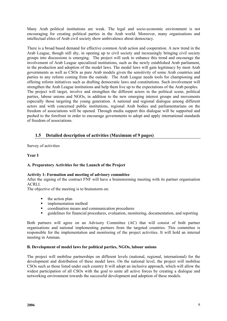Many Arab political institutions are weak. The legal and socio-economic environment is not encouraging for creating political parties in the Arab world. Moreover, many organisations and intellectual elites of Arab civil society show ambivalence about democracy.

There is a broad based demand for effective common Arab action and cooperation. A new trend in the Arab League, though still shy, in opening up to civil society and increasingly bringing civil society groups into discussions is emerging. The project will seek to enhance this trend and encourage the involvement of Arab League specialized institutions, such as the newly established Arab parliament, in the production and adoption of the model laws. The model laws will gain legitimacy by most Arab governments as well as CSOs as pure Arab models given the sensitivity of some Arab countries and parties to any reform coming from the outside. The Arab League needs tools for championing and offering reform initiatives such as drafting democratic laws and constitutions. Such involvement will strengthen the Arab League institutions and help them live up to the expectations of the Arab peoples. The project will target, involve and strengthen the different actors in the political scene, political parties, labour unions and NGOs, in addition to the new emerging interest groups and movements especially those targeting the young generation. A national and regional dialogue among different actors and with concerned public institutions, regional Arab bodies and parliamentarians on the freedom of associations will be opened. Through media support this dialogue will be supported and pushed to the forefront in order to encourage governments to adopt and apply international standards of freedom of associations.

## **1.5 Detailed description of activities (Maximum of 9 pages)**

Survey of activities

**Year I** 

## **A. Preparatory Activities for the Launch of the Project**

## **Activity 1: Formation and meeting of advisory committee**

After the signing of the contract FNF will have a brainstorming meeting with its partner organisation ACRLI.

The objective of the meeting is to brainstorm on:

- $\blacksquare$  the action plan
- **·** implementation method
- coordination means and communication procedures
- guidelines for financial procedures, evaluation, monitoring, documentation, and reporting

Both partners will agree on an Advisory Committee (AC) that will consist of both partner organisations and national implementing partners from the targeted countries. This committee is responsible for the implementation and monitoring of the project activities. It will hold an internal meeting in Amman.

#### **B. Development of model laws for political parties, NGOs, labour unions**

The project will mobilise partnerships on different levels (national, regional, international) for the development and distribution of these model laws. On the national level, the project will mobilise CSOs such as those listed under each country It will adopt an inclusive approach, which will allow the widest participation of all CSOs with the goal to unite all active forces by creating a dialogue and networking environment towards the successful development and adoption of these models.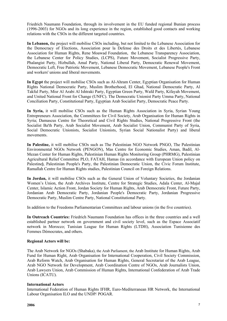Friedrich Naumann Foundation, through its involvement in the EU funded regional Bunian process (1996-2003) for NGOs and its long experience in the region, established good contacts and working relations with the CSOs in the different targeted countries.

**In Lebanon,** the project will mobilise CSOs including, but not limited to the Lebanese Association for the Democracy of Elections, Association pour la Defense des Droits et des Libertés, Lebanese Association for Human Rights, Rene Moawad Foundation, the Lebanese Transparency Association, the Lebanese Center for Policy Studies, (LCPS), Future Movement, Socialist Progressive Party, Phalangist Party, Hizbullah, Amal Party, National Liberal Party, Democratic Renewal Movement, Democratic Left, Free Patriotic Movement, Lebanese Democratic Movement, Lebanese People's Front and workers' unions and liberal movements.

**In Egypt** the project will mobilise CSOs such as Al-Ahram Center, Egyptian Organisation for Human Rights National Democratic Party, Muslim Brotherhood, El Ghad, National Democratic Party, Al Takful Party, Misr Al Arabi Al Ishtraki Party, Egyptian Green Party, Wafd Party, Kifayah Movement, and United National Front for Change (UNFC). The Democratic Unionist Party Umma Party, National Conciliation Party, Constitutional Party, Egyptian Arab Socialist Party, Democratic Peace Party.

**In Syria,** it will mobilise CSOs such as the Human Rights Association in Syria, Syrian Young Entrepreneurs Association, the Committees for Civil Society, Arab Organisation for Human Rights in Syria; Damascus Centre for Theoretical and Civil Rights Studies, National Progressive Front (the Socialist Ba'th Party, Arab Socialist Movement, Arab Socialist Union, Communist Party of Syria, Social Democratic Unionists, Socialist Unionists, Syrian Social Nationalist Party) and liberal movements.

**In Palestine,** it will mobilise CSOs such as The Palestinian NGO Network PNGO, The Palestinian Environmental NGOs Network (PENGON), Mas Centre for Economic Studies, Aman, Badil, Al-Mezan Center for Human Rights, Palestinian Human Rights Monitoring Group (PHRMG), Palestinian Agricultural Relief Committee PLO, FATAH, Hamas (in accordance with European Union policy on Palestine**)**, Palestinian People's Party, the Palestinian Democratic Union, the Civic Forum Institute, Ramallah Centre for Human Rights studies, Palestinian Council on Foreign Relations.

**In Jordan,** it will mobilise CSOs such as the General Union of Voluntary Societies, the Jordanian Women's Union, the Arab Archives Institute, Centre for Strategic Studies, Adala Center, Al-Majal Center, Islamic Action Front, Jordan Society for Human Rights, Arab Democratic Front, Future Party, Jordanian Arab Democratic Party, Jordanian People's Democratic Party, Jordanian Progressive Democratic Party, Muslim Centre Party, National Constitutional Party.

In addition to the Freedoms Parliamentarian Committees and labour unions (in the five countries).

**In Outreach Countries:** Friedrich Naumann Foundation has offices in the three countries and a well established partner network on government and civil society level, such as the Espace Associatif network in Morocco; Tunisian League for Human Rights (LTDH), Association Tunisienne des Femmes Démocrates, and others.

## **Regional Actors will be:**

The Arab Network for NGOs (Shabaka), the Arab Parliament, the Arab Institute for Human Rights, Arab Fund for Human Right, Arab Organisation for International Cooperation, Civil Society Commission, Arab Reform Watch, Arab Organisation for Human Rights, General Secretariat of the Arab League, Arab NGO Network for Development, Arab Coordination Centre of NGOs, Arab Journalists Union, Arab Lawyers Union, Arab Commission of Human Rights, International Confederation of Arab Trade Unions (ICATU).

## **International Actors**

International Federation of Human Rights IFHR, Euro-Mediterranean HR Network, the International Labour Organisation ILO and the UNDP/ POGAR.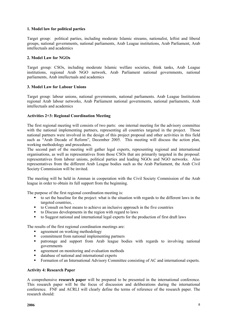## **1. Model law for political parties**

Target group: political parties, including moderate Islamic streams, nationalist, leftist and liberal groups, national governments, national parliaments, Arab League institutions, Arab Parliament, Arab intellectuals and academics

## **2. Model Law for NGOs**

Target group: CSOs, including moderate Islamic welfare societies, think tanks, Arab League institutions, regional Arab NGO network, Arab Parliament national governments, national parliaments, Arab intellectuals and academics

#### **3. Model Law for Labour Unions**

Target group: labour unions, national governments, national parliaments. Arab League Institutions regional Arab labour networks, Arab Parliament national governments, national parliaments, Arab intellectuals and academics

## **Activities 2+3: Regional Coordination Meeting**

The first regional meeting will consists of two parts: one internal meeting for the advisory committee with the national implementing partners, representing all countries targeted in the project. Those national partners were involved in the design of this project proposal and other activities in this field such as "Arab Decade of Reform", December 2005. This meeting will discuss the action plan, working methodology and procedures.

The second part of the meeting will gather legal experts, representing regional and international organisations, as well as representatives from those CSOs that are primarily targeted in the proposal: representatives from labour unions, political parties and leading NGOs and NGO networks. Also representatives from the different Arab League bodies such as the Arab Parliament, the Arab Civil Society Commission will be invited.

The meeting will be held in Amman in cooperation with the Civil Society Commission of the Arab league in order to obtain its full support from the beginning.

The purpose of the first regional coordination meeting is:

- to set the baseline for the project: what is the situation with regards to the different laws in the targeted countries, .
- to Consult on best means to achieve an inclusive approach in the five countries
- to Discuss developments in the region with regard to laws
- to Suggest national and international legal experts for the production of first draft laws

The results of the first regional coordination meetings are:

- agreement on working methodology
- commitment from national implementing partners
- patronage and support from Arab league bodies with regards to involving national governments
- **a** agreement on monitoring and evaluation methods
- database of national and international experts
- Formation of an International Advisory Committee consisting of AC and international experts.

## **Activity 4: Research Paper**

A comprehensive **research paper** will be prepared to be presented in the international conference. This research paper will be the focus of discussion and deliberations during the international conference. FNF and ACRLI will clearly define the terms of reference of the research paper. The research should: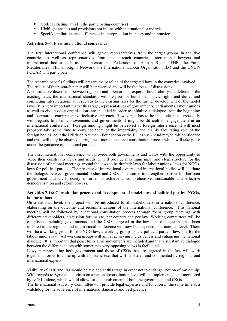- Collect existing laws (in the participating countries)
- Highlight articles and provisions not in line with international standards
- Specify similarities and differences in interpretation in theory and in practice.

#### **Activities 5+6: First international conference**

The first international conference will gather representatives from the target groups in the five countries as well as representatives from the outreach countries; international lawyers and international bodies such as the International Federation of Human Rights IFHR, the Euro-Mediterranean Human Rights Network, the International Labour Organisation ILO and the UNDP/ POGAR will participate.

The research paper's findings will present the baseline of the targeted laws in the countries involved. The results of the research paper will be presented and will be the focus of discussions.

A consultative discussion between regional and international experts should clarify the deficits in the existing laws, the international standards with respect for human and civic rights and duties and conflicting interpretations with regards to the existing laws for the further development of the model laws. It is very important that at this stage, representatives of governments, parliaments, labour unions as well as civil society organisations are included in order to initialize a dialogue from the beginning and to ensure a comprehensive inclusive approach. However, it has to be made clear that especially with regards to Islamic movements and governments it might be difficult to engage them in an international conference. Foreign funding might be perceived as foreign interference. It will most probably take some time to convince them of the impartiality and mainly facilitating role of the foreign bodies, be it the Friedrich Naumann Foundation or the EU as such. And maybe this confidence and trust will only be obtained during the 4 months national consultation process which will take place under the guidance of a national partner.

The first international conference will provide both governments and CSOs with the opportunity to voice their constraints, fears and needs. It will provide maximum input and clear structure for the discussion of national meetings around the laws to be drafted: laws for labour unions, laws for NGOs, laws for political parties. The presence of international experts and international bodies will facilitate the dialogue between governmental bodies and CSO. The aim is to strengthen partnership between government and civil society in order to achieve a comprehensive, sustainable and effective democratisation and reform process.

#### **Activities 7-16: Consultation process and development of model laws of political parties, NGOs, labour unions**

On a national level, the project will be introduced to all stakeholders in a national conference, elaborating on the outcome and recommendations of the international conference. This national meeting will be followed by a national consultation process through focus group meetings with different stakeholders, discussion forums etc. per country and per law. Working committees will be established including governments and the CSOs targeted in the law. The dialogue that has been initiated in the regional and international conference will now be deepened on a national level. There will be a working group for the NGO law, a working group for the political parties' law, one for the labour unions law. All working groups will aim at achieving inclusiveness and enhancing the national dialogue. It is important that peaceful Islamic movements are included and that a substantive dialogue between the different actors with sometimes very opposing views is facilitated.

Lawyers representing both government and those of CSOs that are targeted in the law will work together in order to come up with a specific text that will be shared and commented by regional and international experts.

Visibility of FNF and EU should be avoided at this stage in order not to endanger notion of ownership. With regards to Syria all activities on a national consultation level will be implemented and monitored by ACRLI alone, which would allow for the involvement of both the government and CSOs.

The International Advisory Committee will provide legal expertise and function in the same time as a watchdog for the adherence of international standards and best practice.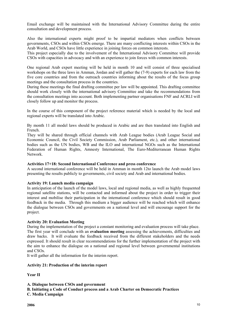Email exchange will be maintained with the International Advisory Committee during the entire consultation and development process.

Also the international experts might proof to be impartial mediators when conflicts between governments, CSOs and within CSOs emerge. There are many conflicting interests within CSOs in the Arab World, and CSOs have little experience in joining forces on common interests.

This project especially due to the involvement of the International Advisory Committee will provide CSOs with capacities in advocacy and with an experience to join forces with common interests.

One regional Arab expert meeting will be held in month 10 and will consist of three specialised workshops on the three laws in Amman, Jordan and will gather the (7-9) experts for each law from the five core countries and from the outreach countries informing about the results of the focus group meetings and the consultation process in the countries.

During these meetings the final drafting committee per law will be appointed. This drafting committee should work closely with the international advisory Committee and take the recommendations from the consultation meetings into account. Both implementing partner organisations FNF and ACRLI will closely follow up and monitor the process.

In the course of this component of the project reference material which is needed by the local and regional experts will be translated into Arabic.

By month 11 all model laws should be produced in Arabic and are then translated into English and French.

They will be shared through official channels with Arab League bodies (Arab League Social and Economic Council, the Civil Society Commission, Arab Parliament, etc.), and other international bodies such as the UN bodies, WB and the ILO and international NGOs such as the International Federation of Human Rights, Amnesty International, The Euro-Mediterranean Human Rights Network.

#### **Activities 17+18: Second International Conference and press conference**

A second international conference will be held in Amman in month 12to launch the Arab model laws presenting the results publicly to governments, civil society and Arab and international bodies.

#### **Activity 19: Launch media campaign**

In anticipation of the launch of the model laws, local and regional media, as well as highly frequented regional satellite stations, will be contacted and informed about the project in order to trigger their interest and mobilise their participation in the international conference which should result in good feedback in the media. Through this medium a bigger audience will be reached which will enhance the dialogue between CSOs and governments on a national level and will encourage support for the project.

#### **Activity 20: Evaluation Meeting**

During the implementation of the project a constant monitoring and evaluation process will take place. The first year will conclude with an **evaluation meeting** assessing the achievements, difficulties and draw backs. It will evaluate the feedback received from the different stakeholders and the needs expressed. It should result in clear recommendations for the further implementation of the project with the aim to enhance the dialogue on a national and regional level between governmental institutions and CSOs.

It will gather all the information for the interim report.

#### **Activity 21: Production of the interim report**

**Year II** 

**A. Dialogue between CSOs and government** 

**B. Initiating a Code of Conduct process and a Arab Charter on Democratic Practices C. Media Campaign**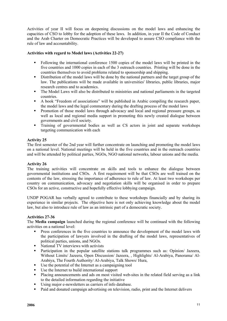Activities of year II will focus on deepening discussions on the model laws and enhancing the capacities of CSO to lobby for the adoption of these laws. In addition, in year II the Code of Conduct and the Arab Charter on Democratic Practices will be developed to assure CSO compliance with the rule of law and accountability.

## **Activities with regard to Model laws (Activities 22-27)**

- Following the international conference 1500 copies of the model laws will be printed in the five countries and 1000 copies in each of the 3 outreach countries. Printing will be done in the countries themselves to avoid problems related to sponsorship and shipping.
- Distribution of the model laws will be done by the national partners and the target group of the law. The publications will be made available in universities' libraries, public libraries, major research centres and to academics.
- The Model Laws will also be distributed to ministries and national parliaments in the targeted countries.
- A book "Freedom of associations" will be published in Arabic compiling the research paper, the model laws and the legal commentary during the drafting process of the model laws
- **Promotion of those model laws through advocacy and local and regional pressure groups, as** well as local and regional media support in promoting this newly created dialogue between governments and civil society.
- Training of governmental bodies as well as CS actors in joint and separate workshops targeting communication with each

## **Activity 25**

The first semester of the 2nd year will further concentrate on launching and promoting the model laws on a national level. National meetings will be held in the five countries and in the outreach countries and will be attended by political parties, NGOs, NGO national networks, labour unions and the media.

## **Activity 26**

The training activities will concentrate on skills and tools to enhance the dialogue between governmental institutions and CSOs. A first requirement will be that CSOs are well trained on the contents of the law, stressing the importance of adherence to rule of law. At least two workshops per country on communication, advocacy and negotiation skills will be organised in order to prepare CSOs for an active, constructive and hopefully effective lobbying campaign.

UNDP POGAR has verbally agreed to contribute to these workshops financially and by sharing its experience in similar projects. The objective here is not only achieving knowledge about the model law, but also to introduce rule of law as an intrinsic part of a democratic society.

## **Activities 27-36**

The **Media campaign** launched during the regional conference will be continued with the following activities on a national level:

- Press conferences in the five countries to announce the development of the model laws with the participation of lawyers involved in the drafting of the model laws, representatives of political parties, unions, and NGOs.
- National TV interviews with activists
- Participation in the popular satellite stations talk programmes such as: Opinion/ Jazeera, Without Limits/ Jazeera, Open Discussion/ Jazeera, , Highlights/ Al-Arabiya, Panorama/ Al-Arabiya, The Fourth Authority/ Al-Arabiya, Talk Shows/ Hura,
- Use the potential of the Internet as a campaigning tool
- Use the Internet to build international support
- Placing announcements and ads on most visited web-sites in the related field serving as a link to the detailed information regarding the initiative
- Using major e-newsletters as carriers of info database.
- Paid and donated campaign advertising on television, radio, print and the Internet delivers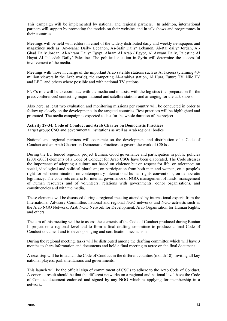This campaign will be implemented by national and regional partners. In addition, international partners will support by promoting the models on their websites and in talk shows and programmes in their countries.

Meetings will be held with editors in chief of the widely distributed daily and weekly newspapers and magazines such as: An-Nahar Daily/ Lebanon, As-Safir Daily/ Lebanon, Al-Rai daily/ Jordan, Al-Ghad Daily Jordan, Al-Ahram Daily/ Egypt, Ahram Al Arab / Egypt, Al Ayyam Daily, Palestine Al Hayat Al Jadeedah Daily/ Palestine. The political situation in Syria will determine the successful involvement of the media.

Meetings with those in charge of the important Arab satellite stations such as Al Jazeera (claiming 40 million viewers in the Arab world), the competing Al-Arabiya station, Al Hura, Future TV, Nile TV and LBC, and others where possible and with national TV stations.

FNF's role will be to coordinate with the media and to assist with the logistics (i.e. preparation for the press conferences) contacting major national and satellite stations and arranging for the talk shows.

Also here, at least two evaluation and monitoring missions per country will be conducted in order to follow up closely on the developments in the targeted countries. Best practices will be highlighted and promoted. The media campaign is expected to last for the whole duration of the project.

#### **Activity 28-34: Code of Conduct and Arab Charter on Democratic Practices**

Target group: CSO and governmental institutions as well as Arab regional bodies

National and regional partners will cooperate on the development and distribution of a Code of Conduct and an Arab Charter on Democratic Practices to govern the work of CSOs .

During the EU funded regional project Bunian: Good governance and participation in public policies (2001-2003) elements of a Code of Conduct for Arab CSOs have been elaborated. The Code stresses the importance of adopting a culture not based on violence but on respect for life; on tolerance; on social, ideological and political pluralism; on participation from both men and women; on a people's right for self-determination; on contemporary international human rights conventions; on democratic legitimacy. The code sets criteria for internal governance of NGO, management of funds, management of human resources and of volunteers, relations with governments, donor organisations, and constituencies and with the media.

These elements will be discussed during a regional meeting attended by international experts from the International Advisory Committee, national and regional NGO networks and NGO activists such as the Arab NGO Network, Arab NGO Network for Development, Arab Organisation for Human Rights, and others.

The aim of this meeting will be to assess the elements of the Code of Conduct produced during Bunian II project on a regional level and to form a final drafting committee to produce a final Code of Conduct document and to develop singing and certification mechanism.

During the regional meeting, tasks will be distributed among the drafting committee which will have 3 months to share information and documents and hold a final meeting to agree on the final document.

A next step will be to launch the Code of Conduct in the different counties (month 18), inviting all key national players, parliamentarians and governments.

This launch will be the official sign of commitment of CSOs to adhere to the Arab Code of Conduct. A concrete result should be that the different networks on a regional and national level have the Code of Conduct document endorsed and signed by any NGO which is applying for membership in a network.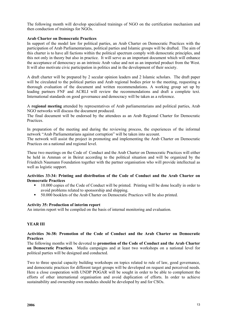The following month will develop specialised trainings of NGO on the certification mechanism and then conduction of trainings for NGOs.

## **Arab Charter on Democratic Practices**

In support of the model law for political parties, an Arab Charter on Democratic Practices with the participation of Arab Parliamentarians, political parties and Islamic groups will be drafted. The aim of this charter is to have all factions within the political spectrum comply with democratic principles, and this not only in theory but also in practice. It will serve as an important document which will enhance the acceptance of democracy as an intrinsic Arab value and not as an imported product from the West. It will also motivate civic participation in politics and in the development of their society.

A draft charter will be prepared by 2 secular opinion leaders and 2 Islamic scholars. The draft paper will be circulated to the political parties and Arab regional bodies prior to the meeting, requesting a thorough evaluation of the document and written recommendations. A working group set up by leading partners FNF and ACRLI will review the recommendations and draft a complete text. International standards on good governance and democracy will be taken as a reference.

A **regional meeting** attended by representatives of Arab parliamentarians and political parties, Arab NGO networks will discuss the document produced.

The final document will be endorsed by the attendees as an Arab Regional Charter for Democratic Practices.

In preparation of the meeting and during the reviewing process, the experiences of the informal network "Arab Parliamentarians against corruption" will be taken into account.

The network will assist the project in promoting and implementing the Arab Charter on Democratic Practices on a national and regional level.

These two meetings on the Code of Conduct and the Arab Charter on Democratic Practices will either be held in Amman or in Beirut according to the political situation and will be organized by the Friedrich Naumann Foundation together with the partner organisation who will provide intellectual as well as logistic support.

#### **Activities 33-34: Printing and distribution of the Code of Conduct and the Arab Charter on Democratic Practices**

- <sup>10.000</sup> copies of the Code of Conduct will be printed. Printing will be done locally in order to avoid problems related to sponsorship and shipping.
- 50.000 booklets of the Arab Charter on Democratic Practices will be also printed.

#### **Activity 35: Production of interim report**

An interim report will be compiled on the basis of internal monitoring and evaluation.

## **YEAR III**

#### **Activities 36-38: Promotion of the Code of Conduct and the Arab Charter on Democratic Practices**

The following months will be devoted to **promotion of the Code of Conduct and the Arab Charter on Democratic Practices**. Media campaigns and at least two workshops on a national level for political parties will be designed and conducted.

Two to three special capacity building workshops on topics related to rule of law, good governance, and democratic practices for different target groups will be developed on request and perceived needs. Here a close cooperation with UNDP POGAR will be sought in order to be able to complement the efforts of other international organisation and avoid duplication of efforts. In order to achieve sustainability and ownership own modules should be developed by and for CSOs.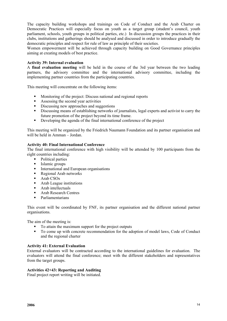The capacity building workshops and trainings on Code of Conduct and the Arab Charter on Democratic Practices will especially focus on youth as a target group (student's council, youth parliament, schools, youth groups in political parties, etc.) In discussion groups the practices in their clubs, institutions and gatherings should be analysed and discussed in order to introduce gradually the democratic principles and respect for rule of law as principle of their societies.

Women empowerment will be achieved through capacity building on Good Governance principles aiming at creating models of best practice.

## **Activity 39: Internal evaluation**

A **final evaluation meeting** will be held in the course of the 3rd year between the two leading partners, the advisory committee and the international advisory committee, including the implementing partner countries from the participating countries.

This meeting will concentrate on the following items:

- Monitoring of the project: Discuss national and regional reports
- Assessing the second year activities
- Discussing new approaches and suggestions
- Discussing means of establishing networks of journalists, legal experts and activist to carry the future promotion of the project beyond its time frame.
- Developing the agenda of the final international conference of the project

This meeting will be organized by the Friedrich Naumann Foundation and its partner organisation and will be held in Amman – Jordan.

## **Activity 40: Final International Conference**

The final international conference with high visibility will be attended by 100 participants from the eight countries including:

- Political parties
- **Islamic groups**
- **International and European organisations**
- Regional Arab networks
- $-$  Arab CSOs
- **Arab League institutions**
- **Arab intellectuals**
- Arab Research Centres
- Parliamentarians

This event will be coordinated by FNF, its partner organisation and the different national partner organisations.

The aim of the meeting is:

- To attain the maximum support for the project outputs
- To come up with concrete recommendation for the adoption of model laws, Code of Conduct and the regional charter

#### **Activity 41: External Evaluation**

External evaluators will be contracted according to the international guidelines for evaluation. The evaluators will attend the final conference; meet with the different stakeholders and representatives from the target groups.

#### **Activities 42+43: Reporting and Auditing**

Final project report writing will be initiated.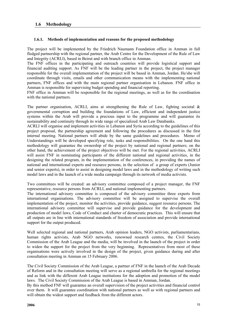## **1.6.1. Methods of implementation and reasons for the proposed methodology**

The project will be implemented by the Friedrich Naumann Foundation office in Amman in full fledged partnership with the regional partner, the Arab Centre for the Development of the Rule of Law and Integrity (ACRLI), based in Beirut and with branch office in Amman.

The FNF offices in the participating and outreach countries will provide logistical support and financial auditing support. As FNF will be the leading partner in the project, the project manager responsible for the overall implementation of the project will be based in Amman, Jordan. He/she will coordinate through visits, emails and other communication means with the implementing national partners, FNF offices and with the main regional partner organisation in Lebanon. FNF office in Amman is responsible for supervising budget spending and financial reporting.

FNF office in Amman will be responsible for the regional meetings, as well as for the coordination with the national partners.

The partner organisation, ACRLI, aims at strengthening the Rule of Law, fighting societal  $\&$ governmental corruption and building the foundations of Law, efficient and independent justice systems within the Arab will provide a precious input to the programme and will guarantee its sustainability and continuity through its wide range of specialized Arab Law Databanks.

ACRLI will organise and implement activities in Lebanon and Syria according to the guidelines of this project proposal, the partnership agreement and following the procedures as discussed in the first internal meeting. National partners will abide by the same guidelines and procedures. Memo of Understandings will be developed specifying role, tasks and responsibilities. On the one hand this methodology will guarantee the ownership of the project by national and regional partners; on the other hand, the achievement of the project objectives will be met. For the regional activities, ACRLI will assist FNF in nominating participants of the different national and regional activities, in the designing the related program, in the implementation of the conferences, in providing the names of national and international experts and resource persons, in the selection of a group of experts (Junior and senior experts), in order to assist in designing model laws and in the methodology of writing such model laws and in the launch of a wide media campaign through its network of media activists.

Two committees will be created: an advisory committee composed of a project manager, the FNF representative, resource persons from ACRLI, and national implementing partners.

The international advisory committee is composed of the advisory committee three experts from international organisations. The advisory committee will be assigned to supervise the overall implementation of the project, monitor the activities, provide guidance, suggest resource persons. The international advisory committee will supervise and provide guidance for the development and production of model laws, Code of Conduct and charter of democratic practices. This will ensure that all outputs are in line with international standards of freedom of association and provide international support for the output produced.

Well selected regional and national partners, Arab opinion leaders, NGO activists, parliamentarians, human rights activists, Arab NGO networks, renowned research centres, the Civil Society Commission of the Arab League and the media, will be involved in the launch of the project in order to widen the support for the project from the very beginning. Representatives from most of these organisations were actively involved in the design of the project, given guidance during and after consultation meeting in Amman on 15 February 2006.

The Civil Society Commission of the Arab League, a partner of FNF in the launch of the Arab Decade of Reform and in the consultation meeting will serve as a regional umbrella for the regional meetings and as link with the different Arab League institutions for the adoption and promotion of the model laws. The Civil Society Commission of the Arab League is based in Amman, Jordan.

By this method FNF will guarantee an overall supervision of the project activities and financial control over them. It will guarantee coordination with national partners as well as with regional partners and will obtain the widest support and feedback from the different actors.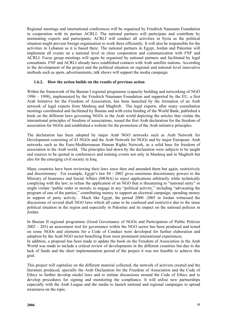Regional meetings and international conferences will be organised by Friedrich Naumann Foundation in cooperation with its partner ACRLI. The national partners will participate and contribute by nominating experts and participants. ACRLI will conduct all activities in Syria as the political situation might prevent foreign organisation to work there efficiently. It will also be responsible for the activities in Lebanon as it is based there. The national partners in Egypt, Jordan and Palestine will implement all events on a national level in close cooperation and communication with FNF and ACRLI. Focus group meetings will again be organised by national partners and facilitated by legal consultants. FNF and ACRLI already have established contacts with Arab satellite stations. According to the development of the project and the political situation on regional and national level innovative methods such as spots, advertisements, talk shows will support the media campaign.

## **1.6.2. How the action builds on the results of previous action**

Within the framework of the Bunian I regional programme (capacity building and networking of NGO 1996 – 1998), implemented by the Friedrich Naumann Foundation and supported by the EU, a first Arab Initiative for the Freedom of Association, has been launched by the formation of an Arab network of legal experts from Mashreq and Maghreb. The legal experts, after many consultation meetings coordinated and facilitated by Bunian and with extra funding of the World Bank, published a book on the different laws governing NGOs in the Arab world depicting the articles that violate the international principles of freedom of associations, issued the first Arab declaration for the freedom of association for NGOs and established a website for the promotion of the Arab initiative principles.

The declaration has been adopted by major Arab NGO networks such as Arab Network for Development consisting of 43 NGOs and the Arab Network for NGOs and by major European- Arab networks such as the Euro-Mediterranean Human Rights Network, as a solid base for freedom of association in the Arab world. The principles laid down by the declaration were subjects to be taught and sources to be quoted in conferences and training events not only in Mashreq and in Maghreb but also for the emerging civil society in Iraq.

Many countries have been reviewing their laws since then and amended them but again, restrictively and discretionary. For example, Egypt's law 84 / 2002 gives enormous discretionary powers to the Ministry of Insurance and Social Affairs (MOSA) to reject applications arbitrarily while technically complying with the law; to refuse the application of an NGO that is threatening to "national unity" or might violate "public order or morals; to engage in any "political activity," including "advocating the program of one of the parties," contributing money to support an electoral campaign, spending money in support of party activity . Much like Egypt, the period 2000 -2005 in Jordan witnessed the discussions of several draft NGO laws which all came to be confused and restrictive due to the tense political situation in the region and especially in Palestine and its impact on the national policies in Jordan.

In Bunian II regional programme (Good Governance of NGOs and Participation of Public Policies 2002 – 203) an assessment tool for governance within the NGO sector has been produced and tested on some NGOs and elements for a Code of Conduct were developed for further elaboration and adoption by the Arab NGO sector benefiting from most prominent international experiences. In addition, a proposal has been made to update the book on the Freedom of Association in the Arab World was made to include a critical review of developments in the different countries but due to the lack of funds and the short implementation period of the project it was not feasible to achieve this goal.

This project will capitalise on the different material collected, the network of activists created and the literature produced, specially the Arab Declaration for the Freedom of Association and the Code of Ethics to further develop model laws and to initiate discussions around the Code of Ethics and to develop procedures for signing and monitoring the compliance. It will utilise new partnerships especially with the Arab League and the media to launch national and regional campaigns to spread awareness on the topic.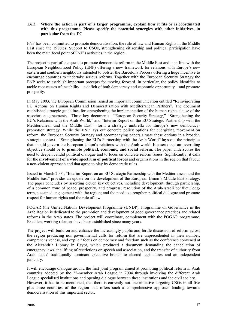## **1.6.3. Where the action is part of a larger programme, explain how it fits or is coordinated with this programme. Please specify the potential synergies with other initiatives, in particular from the EC**

FNF has been committed to promote democratisation, the rule of law and Human Rights in the Middle East since the 1980ies. Support to CSOs, strengthening citizenship and political participation have been the main focal point of FNF's activities in the region.

The project is part of the quest to promote democratic reform in the Middle East and is in-line with the European Neighbourhood Policy (ENP) offering a new framework for relations with Europe's new eastern and southern neighbours intended to bolster the Barcelona Process offering a huge incentive to encourage countries to undertake serious reforms. Together with the European Security Strategy the ENP seeks to establish important precepts for moving forward. In particular, the policy identifies to tackle root causes of instability—a deficit of both democracy and economic opportunity—and promote prosperity.

In May 2003, the European Commission issued an important communication entitled "Reinvigorating EU Actions on Human Rights and Democratization with Mediterranean Partners". The document established strategic guidelines for strengthening the implementation of the human rights clause of the association agreements. Three key documents—"European Security Strategy," "Strengthening the EU's Relations with the Arab World," and "Interim Report on the EU Strategic Partnership with the Mediterranean and the Middle East"—form a strategic umbrella for Europe's new democracypromotion strategy. While the ENP lays out concrete policy options for energizing movement on reform, the European Security Strategy and accompanying papers situate these options in a broader, strategic context. "Strengthening the EU's Partnership with the Arab World" lays out the principles that should govern the European Union's relations with the Arab world. It asserts that an overriding objective should be to **promote political, economic, and social reform**. The paper underscores the need to deepen candid political dialogue and to focus on concrete reform issues. Significantly, it calls for the **involvement of a wide spectrum of political forces** and organisations in the region that favour a non-violent approach and that agree to play by democratic rules.

Issued in March 2004, "Interim Report on an EU Strategic Partnership with the Mediterranean and the Middle East" provides an update on the development of the European Union's Middle East strategy. The paper concludes by asserting eleven key objectives, including development, through partnership, of a common zone of peace, prosperity, and progress; resolution of the Arab-Israeli conflict; longterm, sustained engagement with the region; and the need to strengthen political dialogue and promote respect for human rights and the rule of law.

POGAR (the United Nations Development Programme (UNDP), Programme on Governance in the Arab Region is dedicated to the promotion and development of good governance practices and related reforms in the Arab states. The project will coordinate, complement with the POGAR programme. Excellent working relations have been established since many years.

The project will build on and enhance the increasingly public and fertile discussion of reform across the region producing non-governmental calls for reform that are unprecedented in their number, comprehensiveness, and explicit focus on democracy and freedom such as the conference convened at the Alexandria Library in Egypt, which produced a document demanding the cancellation of emergency laws, the lifting of restrictions on speech and association, and the transfer of authority from Arab states' traditionally dominant executive branch to elected legislatures and an independent judiciary.

It will encourage dialogue around the first joint program aimed at promoting political reform in Arab countries adopted by the 22-member Arab League in 2004 through involving the different Arab League specialised institutions and opening dialogue between these institutions and the civil society. However, it has to be mentioned, that there is currently not one initiative targeting CSOs in all five plus three countries of the region that offers such a comprehensive approach leading towards democratisation of this important sector.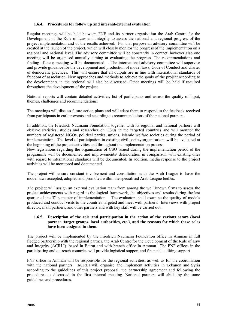## **1.6.4. Procedures for follow up and internal/external evaluation**

Regular meetings will be held between FNF and its partner organisation the Arab Centre for the Development of the Rule of Law and Integrity to assess the national and regional progress of the project implementation and of the results achieved. For that purpose an advisory committee will be created at the launch of the project, which will closely monitor the progress of the implementation on a regional and national level. The advisory committee will be constantly in contact, however also one meeting will be organised annually aiming at evaluating the progress. The recommendations and finding of these meeting will be documented. . The international advisory committee will supervise and provide guidance for the development and production of model laws, Code of Conduct and charter of democratic practices. This will ensure that all outputs are in line with international standards of freedom of association. New approaches and methods to achieve the goals of the project according to the developments in the regional will also be discussed. Other meetings will be held if required throughout the development of the project.

National reports will contain detailed activities, list of participants and assess the quality of input, themes, challenges and recommendations.

The meetings will discuss future action plans and will adapt them to respond to the feedback received from participants in earlier events and according to recommendations of the national partners.

In addition, the Friedrich Naumann Foundation, together with its regional and national partners will observe statistics, studies and researches on CSOs in the targeted countries and will monitor the numbers of registered NGOs, political parties, unions, Islamic welfare societies during the period of implementation. The level of participation in existing civil society organisations will be evaluated at the beginning of the project activities and throughout the implementation process.

New legislations regarding the organisation of CSO issued during the implementation period of the programme will be documented and improvements/ deterioration in comparison with existing ones with regard to international standards will be documented. In addition, media response to the project activities will be monitored and documented

The project will ensure constant involvement and consultation with the Arab League to have the model laws accepted, adopted and promoted within the specialised Arab League bodies.

The project will assign an external evaluation team from among the well known firms to assess the project achievements with regard to the logical framework, the objectives and results during the last quarter of the  $3<sup>rd</sup>$  semester of implementation. The evaluators shall examine the quality of models produced and conduct visits to the countries targeted and meet with partners. Interviews with project director, main partners, and other partners and with key staff will be carried out.

## **1.6.5. Description of the role and participation in the action of the various actors (local partner, target groups, local authorities, etc.), and the reasons for which these roles have been assigned to them.**

The project will be implemented by the Friedrich Naumann Foundation office in Amman in full fledged partnership with the regional partner, the Arab Centre for the Development of the Rule of Law and Integrity (ACRLI), based in Beirut and with branch office in Amman.. The FNF offices in the participating and outreach countries will provide logistical support and financial auditing support.

FNF office in Amman will be responsible for the regional activities, as well as for the coordination with the national partners. ACRLI will organise and implement activities in Lebanon and Syria according to the guidelines of this project proposal, the partnership agreement and following the procedures as discussed in the first internal meeting. National partners will abide by the same guidelines and procedures.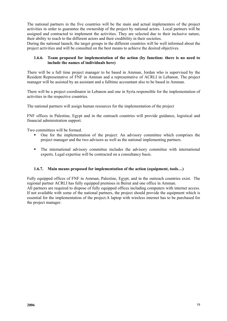The national partners in the five countries will be the main and actual implementers of the project activities in order to guarantee the ownership of the project by national actors. Local partners will be assigned and contracted to implement the activities. They are selected due to their inclusive nature, their ability to reach to the different actors and their credibility in their societies.

During the national launch, the target groups in the different countries will be well informed about the project activities and will be consulted on the best means to achieve the desired objectives.

## **1.6.6. Team proposed for implementation of the action (by function: there is no need to include the names of individuals here)**

There will be a full time project manager to be based in Amman, Jordan who is supervised by the Resident Representative of FNF in Amman and a representative of ACRLI in Lebanon. The project manager will be assisted by an assistant and a fulltime accountant also to be based in Amman.

There will be a project coordinator in Lebanon and one in Syria responsible for the implementation of activities in the respective countries.

The national partners will assign human resources for the implementation of the project

FNF offices in Palestine, Egypt and in the outreach countries will provide guidance, logistical and financial administration support.

Two committees will be formed.

- One for the implementation of the project: An advisory committee which comprises the project manager and the two advisors as well as the national implementing partners.
- The international advisory committee includes the advisory committee with international experts. Legal expertise will be contracted on a consultancy basis.

## **1.6.7. Main means proposed for implementation of the action (equipment, tools…)**

Fully equipped offices of FNF in Amman, Palestine, Egypt, and in the outreach countries exist. The regional partner ACRLI has fully equipped premises in Beirut and one office in Amman. All partners are required to dispose of fully equipped offices including computers with internet access. If not available with some of the national partners, the project should provide the equipment which is essential for the implementation of the project.A laptop with wireless internet has to be purchased for the project manager.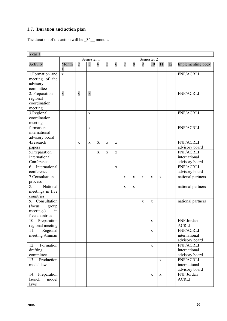## **1.7. Duration and action plan**

The duration of the action will be \_36\_ months.

| Year 1                                                                     |             |                         |                         |                           |             |             |                |             |   |             |             |    |                                                     |
|----------------------------------------------------------------------------|-------------|-------------------------|-------------------------|---------------------------|-------------|-------------|----------------|-------------|---|-------------|-------------|----|-----------------------------------------------------|
|                                                                            |             |                         | Semester 1              |                           |             |             |                |             |   | Semester 2  |             |    |                                                     |
| Activity                                                                   | Month<br>1  | $\overline{c}$          | $\overline{\mathbf{3}}$ | $\overline{\mathcal{A}}$  | 5           | 6           | $\overline{7}$ | 8           | 9 | 10          | 11          | 12 | Implementing body                                   |
| 1. Formation and<br>meeting of the<br>advisory<br>committee                | $\mathbf X$ |                         |                         |                           |             |             |                |             |   |             |             |    | <b>FNF/ACRLI</b>                                    |
| 2. Preparation<br>regional<br>coordination<br>meeting                      | $\mathbf x$ | $\overline{\mathbf{X}}$ | $\overline{\mathbf{X}}$ |                           |             |             |                |             |   |             |             |    | <b>FNF/ACRLI</b>                                    |
| 3.Regional<br>coordination<br>meeting                                      |             |                         | X                       |                           |             |             |                |             |   |             |             |    | <b>FNF/ACRLI</b>                                    |
| formation<br>international<br>advisory board                               |             |                         | $\mathbf X$             |                           |             |             |                |             |   |             |             |    | <b>FNF/ACRLI</b>                                    |
| 4.research<br>papers                                                       |             | X                       | X                       | $\mathbf X$               | $\mathbf X$ | $\mathbf X$ |                |             |   |             |             |    | <b>FNF/ACRLI</b><br>advisory board                  |
| 5.Preparation<br>International<br>Conference                               |             |                         |                         | $\boldsymbol{\mathrm{X}}$ | $\mathbf X$ | $\mathbf X$ |                |             |   |             |             |    | <b>FNF/ACRLI</b><br>international<br>advisory board |
| International<br>6.<br>conference                                          |             |                         |                         |                           |             | $\mathbf X$ |                |             |   |             |             |    | FNF/ACRLI<br>advisory board                         |
| 7.Consultation<br>process                                                  |             |                         |                         |                           |             |             | $\mathbf{X}$   | X           | X | $\mathbf X$ | X           |    | national partners                                   |
| 8.<br>National<br>meetings in five<br>countries                            |             |                         |                         |                           |             |             | X              | $\mathbf X$ |   |             |             |    | national partners                                   |
| Consultation<br>9.<br>(focus<br>group<br>meetings)<br>in<br>five countries |             |                         |                         |                           |             |             |                |             | X | $\mathbf X$ |             |    | national partners                                   |
| 10. Preparation<br>regional meeting                                        |             |                         |                         |                           |             |             |                |             |   | $\mathbf X$ |             |    | <b>FNF</b> Jordan<br><b>ACRLI</b>                   |
| Regional<br>11.<br>meeting Amman                                           |             |                         |                         |                           |             |             |                |             |   | $\mathbf X$ |             |    | <b>FNF/ACRLI</b><br>international<br>advisory board |
| Formation<br>12.<br>drafting<br>committee                                  |             |                         |                         |                           |             |             |                |             |   | $\mathbf X$ |             |    | <b>FNF/ACRLI</b><br>international<br>advisory board |
| Production<br>13.<br>model laws                                            |             |                         |                         |                           |             |             |                |             |   |             | X           |    | <b>FNF/ACRLI</b><br>international<br>advisory board |
| 14. Preparation<br>launch<br>model<br>laws                                 |             |                         |                         |                           |             |             |                |             |   | $\mathbf X$ | $\mathbf X$ |    | FNF Jordan<br><b>ACRLI</b>                          |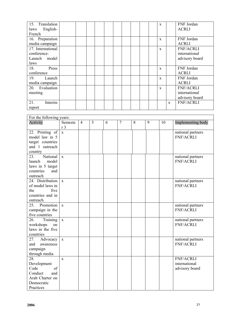| 15.<br>Translation<br>English-<br>laws |  |  |  | $\mathbf{x}$ |              | FNF Jordan<br><b>ACRLI</b> |
|----------------------------------------|--|--|--|--------------|--------------|----------------------------|
| French                                 |  |  |  |              |              |                            |
| 16. Preparation                        |  |  |  | $\mathbf{x}$ |              | FNF Jordan                 |
| media campaign                         |  |  |  |              |              | <b>ACRLI</b>               |
| 17. International                      |  |  |  | $\mathbf{x}$ |              | <b>FNF/ACRLI</b>           |
| conference:                            |  |  |  |              |              | international              |
| model<br>Launch                        |  |  |  |              |              | advisory board             |
| laws                                   |  |  |  |              |              |                            |
| 18.<br>Press                           |  |  |  | $\mathbf{x}$ |              | FNF Jordan                 |
| conference                             |  |  |  |              |              | <b>ACRLI</b>               |
| 19.<br>Launch                          |  |  |  | $\mathbf{x}$ |              | FNF Jordan                 |
| media campaign                         |  |  |  |              |              | <b>ACRLI</b>               |
| 20. Evaluation                         |  |  |  | $\mathbf{x}$ |              | <b>FNF/ACRLI</b>           |
| meeting                                |  |  |  |              |              | international              |
|                                        |  |  |  |              |              | advisory board             |
| Interim<br>21.                         |  |  |  |              | $\mathbf{x}$ | <b>FNF/ACRLI</b>           |
| report                                 |  |  |  |              |              |                            |

|                              | For the following years: |                |   |   |                |   |   |    |                                       |  |
|------------------------------|--------------------------|----------------|---|---|----------------|---|---|----|---------------------------------------|--|
| Activity                     | Semeste                  | $\overline{4}$ | 5 | 6 | $\overline{7}$ | 8 | 9 | 10 | Implementing body                     |  |
|                              | r <sub>3</sub>           |                |   |   |                |   |   |    |                                       |  |
| 22. Printing of              | $\mathbf X$              |                |   |   |                |   |   |    | national partners                     |  |
| model law in 5               |                          |                |   |   |                |   |   |    | <b>FNF/ACRLI</b>                      |  |
| target countries             |                          |                |   |   |                |   |   |    |                                       |  |
| and 1 outreach               |                          |                |   |   |                |   |   |    |                                       |  |
| country                      |                          |                |   |   |                |   |   |    |                                       |  |
| National<br>23.              | $\mathbf X$              |                |   |   |                |   |   |    | national partners                     |  |
| model<br>launch              |                          |                |   |   |                |   |   |    | <b>FNF/ACRLI</b>                      |  |
| laws in 5 target             |                          |                |   |   |                |   |   |    |                                       |  |
| countries<br>and             |                          |                |   |   |                |   |   |    |                                       |  |
| outreach<br>24. Distribution |                          |                |   |   |                |   |   |    |                                       |  |
| of model laws in             | $\mathbf X$              |                |   |   |                |   |   |    | national partners<br><b>FNF/ACRLI</b> |  |
| the<br>five                  |                          |                |   |   |                |   |   |    |                                       |  |
| countries and in             |                          |                |   |   |                |   |   |    |                                       |  |
| outreach                     |                          |                |   |   |                |   |   |    |                                       |  |
| 25.<br>Promotion             | $\mathbf{x}$             |                |   |   |                |   |   |    | national partners                     |  |
| campaign in the              |                          |                |   |   |                |   |   |    | <b>FNF/ACRLI</b>                      |  |
| five countries               |                          |                |   |   |                |   |   |    |                                       |  |
| 26.<br>Training              | $\mathbf X$              |                |   |   |                |   |   |    | national partners                     |  |
| workshops<br>on              |                          |                |   |   |                |   |   |    | <b>FNF/ACRLI</b>                      |  |
| laws in the five             |                          |                |   |   |                |   |   |    |                                       |  |
| countries                    |                          |                |   |   |                |   |   |    |                                       |  |
| 27.<br>Advocacy              | $\mathbf X$              |                |   |   |                |   |   |    | national partners                     |  |
| and<br>awareness             |                          |                |   |   |                |   |   |    | <b>FNF/ACRLI</b>                      |  |
| campaign                     |                          |                |   |   |                |   |   |    |                                       |  |
| through media                |                          |                |   |   |                |   |   |    |                                       |  |
| $\overline{28}$ .            | $\mathbf X$              |                |   |   |                |   |   |    | <b>FNF/ACRLI</b>                      |  |
| Development                  |                          |                |   |   |                |   |   |    | international                         |  |
| Code<br>of                   |                          |                |   |   |                |   |   |    | advisory board                        |  |
| Conduct<br>and               |                          |                |   |   |                |   |   |    |                                       |  |
| Arab Charter on              |                          |                |   |   |                |   |   |    |                                       |  |
| Democratic                   |                          |                |   |   |                |   |   |    |                                       |  |
| Practices                    |                          |                |   |   |                |   |   |    |                                       |  |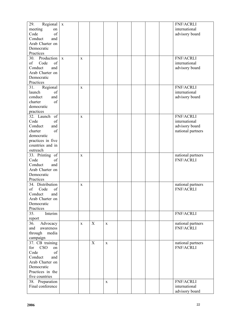| 29.<br>Regional         | $\mathbf X$  |              |             |              |  | <b>FNF/ACRLI</b>  |
|-------------------------|--------------|--------------|-------------|--------------|--|-------------------|
| meeting<br>on           |              |              |             |              |  | international     |
| Code<br>of              |              |              |             |              |  | advisory board    |
| Conduct<br>and          |              |              |             |              |  |                   |
| Arab Charter on         |              |              |             |              |  |                   |
| Democratic              |              |              |             |              |  |                   |
| Practices               |              |              |             |              |  |                   |
| Production<br>30.       | $\mathbf{X}$ |              |             |              |  | <b>FNF/ACRLI</b>  |
|                         |              | $\mathbf{X}$ |             |              |  |                   |
| of<br>of<br>Code        |              |              |             |              |  | international     |
| Conduct<br>and          |              |              |             |              |  | advisory board    |
| Arab Charter on         |              |              |             |              |  |                   |
| Democratic              |              |              |             |              |  |                   |
| Practices               |              |              |             |              |  |                   |
| Regional<br>31.         |              | $\mathbf X$  |             |              |  | <b>FNF/ACRLI</b>  |
| launch<br>of            |              |              |             |              |  | international     |
| conduct<br>and          |              |              |             |              |  | advisory board    |
| charter<br>of           |              |              |             |              |  |                   |
| democratic              |              |              |             |              |  |                   |
| practices               |              |              |             |              |  |                   |
| 32. Launch<br>of        |              | $\mathbf X$  |             |              |  | <b>FNF/ACRLI</b>  |
| Code<br>of              |              |              |             |              |  | international     |
| Conduct<br>and          |              |              |             |              |  | advisory board    |
| of<br>charter           |              |              |             |              |  | national partners |
| democratic              |              |              |             |              |  |                   |
| practices in five       |              |              |             |              |  |                   |
| countries and in        |              |              |             |              |  |                   |
| outreach                |              |              |             |              |  |                   |
| 33. Printing of         |              | X            |             |              |  | national partners |
| Code<br>of              |              |              |             |              |  | <b>FNF/ACRLI</b>  |
| Conduct<br>and          |              |              |             |              |  |                   |
| Arab Charter on         |              |              |             |              |  |                   |
| Democratic              |              |              |             |              |  |                   |
| Practices               |              |              |             |              |  |                   |
| 34. Distribution        |              | $\mathbf X$  |             |              |  | national partners |
| of<br>of<br>Code        |              |              |             |              |  | <b>FNF/ACRLI</b>  |
| Conduct<br>and          |              |              |             |              |  |                   |
| Arab Charter on         |              |              |             |              |  |                   |
| Democratic              |              |              |             |              |  |                   |
| Practices               |              |              |             |              |  |                   |
| Interim<br>35.          |              |              |             |              |  | <b>FNF/ACRLI</b>  |
| report                  |              |              |             |              |  |                   |
| 36.<br>Advocacy         |              | $\mathbf{X}$ | X           | $\mathbf{X}$ |  | national partners |
| and<br>awareness        |              |              |             |              |  | <b>FNF/ACRLI</b>  |
|                         |              |              |             |              |  |                   |
| through<br>media        |              |              |             |              |  |                   |
| campaign                |              |              |             |              |  |                   |
| 37. CB training         |              |              | $\mathbf X$ | $\mathbf X$  |  | national partners |
| <b>CSO</b><br>for<br>on |              |              |             |              |  | <b>FNF/ACRLI</b>  |
| Code<br>of              |              |              |             |              |  |                   |
| Conduct<br>and          |              |              |             |              |  |                   |
| Arab Charter on         |              |              |             |              |  |                   |
| Democratic              |              |              |             |              |  |                   |
| Practices in the        |              |              |             |              |  |                   |
| five countries          |              |              |             |              |  |                   |
| 38. Preparation         |              |              |             | $\mathbf X$  |  | <b>FNF/ACRLI</b>  |
| Final conference        |              |              |             |              |  | international     |
|                         |              |              |             |              |  | advisory board    |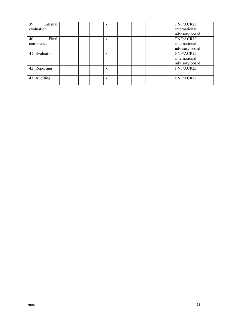| 39.<br>Internal |  | X |  |  | <b>FNF/ACRLI</b> |
|-----------------|--|---|--|--|------------------|
| evaluation      |  |   |  |  | international    |
|                 |  |   |  |  | advisory board   |
| Final<br>40.    |  | X |  |  | <b>FNF/ACRLI</b> |
| conference      |  |   |  |  | international    |
|                 |  |   |  |  | advisory board   |
| 41. Evaluation  |  | X |  |  | <b>FNF/ACRLI</b> |
|                 |  |   |  |  | international    |
|                 |  |   |  |  | advisory board   |
| 42. Reporting   |  | X |  |  | <b>FNF/ACRLI</b> |
|                 |  |   |  |  |                  |
| 43. Auditing    |  | X |  |  | <b>FNF/ACRLI</b> |
|                 |  |   |  |  |                  |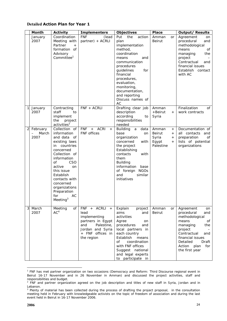## **Detailed Action Plan for Year 1**

|                | Month                                                 | <b>Activity</b>                                                                                                                                                                                                                                                                                 | <b>Implementers</b>                                                                                                                   | <b>Objectives</b>                                                                                                                                                                                                                                                    | <b>Place</b>                                                                     | <b>Output/ Results</b>                                                                                                                                                                                                                    |
|----------------|-------------------------------------------------------|-------------------------------------------------------------------------------------------------------------------------------------------------------------------------------------------------------------------------------------------------------------------------------------------------|---------------------------------------------------------------------------------------------------------------------------------------|----------------------------------------------------------------------------------------------------------------------------------------------------------------------------------------------------------------------------------------------------------------------|----------------------------------------------------------------------------------|-------------------------------------------------------------------------------------------------------------------------------------------------------------------------------------------------------------------------------------------|
|                | January<br>2007                                       | Coordination<br>Meeting with<br>Partner<br>$+$<br>formation of<br>Advisory<br>Committee <sup>1</sup>                                                                                                                                                                                            | <b>FNF</b><br>(lead<br>partner) + ACRLI                                                                                               | the<br>Put<br>action<br>plan<br>implementation<br>method,<br>coordination<br>means<br>and<br>communication<br>procedures<br>for<br>guidelines<br>financial<br>procedures,<br>evaluation,<br>monitoring,<br>documentation,<br>and reporting<br>Discuss names of<br>AC | Amman<br><b>or</b><br>Beirut                                                     | Agreement<br>on<br>procedural<br>and<br>methodological<br>means<br>of<br>the<br>managing<br>project<br>Contractual<br>and<br>financial issues<br>Establish contact<br>with AC                                                             |
| $\mathbf{1}$   | January<br>2007                                       | Contracting<br>staff<br>to<br>implement<br>the<br>project<br>activities <sup>2</sup>                                                                                                                                                                                                            | FNF + ACRLI                                                                                                                           | Drafting clear job<br>description<br>according<br>to<br>responsibilities<br>needed                                                                                                                                                                                   | Amman<br>+Beirut<br>$+$<br>Syria                                                 | Finalization<br>of<br>work contracts                                                                                                                                                                                                      |
| $\overline{2}$ | February<br>March<br>$\overline{\phantom{0}}$<br>2007 | Collection of<br>information<br>and data of<br>existing laws<br>in countries<br>concerned<br>Collection of<br>information<br><b>CSO</b><br>οf<br>active<br>on<br>this issue<br>Establish<br>contacts with<br>concerned<br>organizations<br>Preparation<br>AC<br>for<br>$M!$ eeting <sup>3</sup> | <b>FNF</b><br>+ ACRI<br>$+$<br><b>FNF</b> offices                                                                                     | Building<br>data<br>a<br>base<br>on<br>organization<br>concerned<br>with<br>the project<br>Establishing<br>contacts<br>with<br>them<br><b>Building</b><br>information<br>base<br>of foreign NGOs<br>and<br>similar<br>initiatives                                    | Amman<br>$^{+}$<br>Beirut<br>$+$<br>Syria<br>$^{+}$<br>Egypt<br>$+$<br>Palestine | Documentation of<br>all contacts and<br>preparation<br>of<br>lists of potential<br>organizations                                                                                                                                          |
| 3              | March<br>2007                                         | Meeting<br>of<br>AC <sup>4</sup>                                                                                                                                                                                                                                                                | FNF + ACRLI +<br>lead<br>implementing<br>partners in Egypt<br>Palestine,<br>and<br>Jordan and Syria<br>+ FNF offices in<br>the region | Explain<br>project<br>aims<br>and<br>activities<br>Agree<br>on<br>procedures<br>and<br>local partners in<br>each country<br>Establish<br>means<br>of<br>coordination<br>with FNF offices<br>Suggest national<br>and legal experts<br>to participate in               | Amman<br>or<br><b>Beirut</b>                                                     | Agreement<br>on<br>procedural<br>and<br>methodological<br>means<br>of<br>managing<br>the<br>project<br>$\overline{\phantom{0}}$<br>Contractual<br>and<br>financial issues<br>Detailed<br>Draft<br>Action<br>plan<br>for<br>the first year |

<sup>&</sup>lt;sup>1</sup> FNF has met partner organization on two occasions (Democracy and Reform: Third Discourse regional event in Beirut 16-17 November and in 26 November in Amman) and discussed the project activities, staff and responsibilities and budget.

 $\overline{a}$ 

<sup>&</sup>lt;sup>2</sup> FNF and partner organization agreed on the job description and titles of new staff in Syria, Jordan and in Lebanon.

<sup>&</sup>lt;sup>3</sup> Plenty of material has been collected during the process of drafting the project proposal, in the consultation meeting held in February with knowledgeable activists on the topic of freedom of association and during the last event held in Beirut in 16-17 November 2006.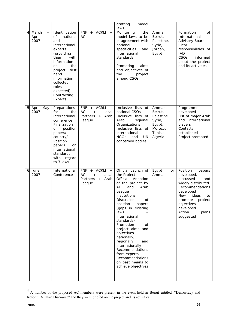|   |                                             |                                                                                                                                                                                                                                             |                                                                                                     | drafting<br>model<br>laws                                                                                                                                                                                                                                                                                                                                                                                                                              |                                                                                        |                                                                                                                                                                                                                   |
|---|---------------------------------------------|---------------------------------------------------------------------------------------------------------------------------------------------------------------------------------------------------------------------------------------------|-----------------------------------------------------------------------------------------------------|--------------------------------------------------------------------------------------------------------------------------------------------------------------------------------------------------------------------------------------------------------------------------------------------------------------------------------------------------------------------------------------------------------------------------------------------------------|----------------------------------------------------------------------------------------|-------------------------------------------------------------------------------------------------------------------------------------------------------------------------------------------------------------------|
| 4 | March<br>$\qquad \qquad -$<br>April<br>2007 | Identification<br>national<br><b>of</b><br>and<br>international<br>experts<br>(providing<br>with<br>them<br>information<br>the<br>on<br>project, first<br>hand<br>information<br>collected,<br>roles<br>expected)<br>Contracting<br>Experts | ACRLI<br><b>FNF</b><br>$+$<br>$+$<br>AC                                                             | Monitoring<br>the<br>model laws to be<br>in agreement with<br>national<br>specificities<br>and<br>international<br>standards<br>Promoting<br>aims<br>and objectives of<br>the<br>project<br>among CSOs                                                                                                                                                                                                                                                 | Amman,<br>Beirut,<br>Palestine,<br>Syria,<br>Jordan,<br>Egypt                          | Formation<br>of<br>International<br>Advisory Board<br>Clear<br>responsibilities of<br><b>IAD</b><br>CSO <sub>S</sub><br>informed<br>about the project<br>and its activities.                                      |
| 5 | April, May<br>2007                          | Preparations<br>for<br>the<br>international<br>conference<br>Finalization<br>οf<br>position<br>papers/<br>country/<br>Position<br>papers<br>on<br>international<br>standards<br>with regard<br>to 3 laws                                    | <b>FNF</b><br><b>ACRLI</b><br>$+$<br>$+$<br>AC<br>Local<br>$+$<br>Partners<br>Arab<br>$+$<br>League | Inclusive lists of<br>national CSOs<br>Inclusive lists of<br>Arab<br>Regional<br>Organizations<br>Inclusive lists of<br>international<br><b>NGOs</b><br>UN<br>and<br>concerned bodies                                                                                                                                                                                                                                                                  | Amman,<br>Beirut,<br>Palestine,<br>Syria,<br>Egypt,<br>Morocco,<br>Tunisia,<br>Algeria | Programme<br>developed<br>List of major Arab<br>and international<br>players<br>Contacts<br>established<br>Project promoted                                                                                       |
| 6 | June<br>2007                                | International<br>Conference                                                                                                                                                                                                                 | <b>FNF</b><br><b>ACRLI</b><br>$+$<br>$+$<br>AC<br>Local<br>$+$<br>Partners<br>+ Arab<br>League      | Official Launch of<br>the Project<br>Official<br>Adoption<br>of the project by<br><b>AL</b><br>and<br>Arab<br>League<br>institutions<br>Discussion<br>0f<br>position<br>papers<br>(gaps in existing<br>laws<br>international<br>standards)<br>Promotion<br>οf<br>project aims and<br>objectives<br>nationally,<br>regionally<br>and<br>internationally<br>Recommendations<br>from experts<br>Recommendations<br>on best means to<br>achieve objectives | Egypt<br>or<br>Amman                                                                   | Position<br>papers<br>developed,<br>discussed<br>and<br>widely distributed<br>Recommendations<br>developed<br>ideas<br>New<br>to<br>promote<br>project<br>objectives<br>developed<br>Action<br>plans<br>suggested |

 <sup>4</sup> A number of the proposed AC members were present in the event held in Beirut entitled: "Democracy and Reform: A Third Discourse" and they were briefed on the project and its activities.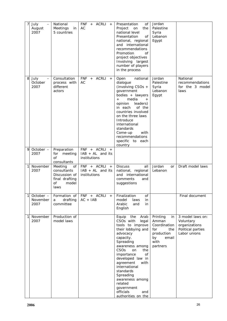| $\overline{7}$<br>July<br>$\equiv$<br>August<br>2007 | National<br>Meetings<br>in<br>5 countries                                                     | <b>FNF</b><br>+ ACRLI +<br>AC                       | Presentation<br>of<br>Project<br>on<br>the<br>national level<br>Presentation<br>οf<br>national, regional<br>and international<br>recommendations<br>Promotion<br>of<br>project objectives<br>Involving largest<br>number of players<br>in the process                                                                                                                                 | Jordan<br>Palestine<br>Syria<br>Lebanon<br>Egypt                                                       |                                                                                     |
|------------------------------------------------------|-----------------------------------------------------------------------------------------------|-----------------------------------------------------|---------------------------------------------------------------------------------------------------------------------------------------------------------------------------------------------------------------------------------------------------------------------------------------------------------------------------------------------------------------------------------------|--------------------------------------------------------------------------------------------------------|-------------------------------------------------------------------------------------|
| 8<br>July<br>October<br>2007                         | Consultation<br>process with<br>different<br>actors                                           | + ACRLI<br><b>FNF</b><br>$+$<br>AC                  | Open<br>national<br>dialogue<br>(involving CSOs +<br>government<br>bodies + lawyers<br>media<br>$+$<br>$+$<br>leaders)<br>opinion<br>of the<br>in each<br>countries involved<br>on the three laws<br>Introduce<br>international<br>standards<br>Come-up<br>with<br>recommendations<br>specific to each<br>country                                                                     | Jordan<br>Palestine<br>Syria<br>Lebanon<br>Egypt                                                       | National<br>recommendations<br>for the 3 model<br>laws                              |
| October -<br>9<br>2007                               | Preparation<br>for<br>meeting<br>of<br>consultants                                            | FNF + ACRLI +<br>$IAB + AL$ and its<br>institutions |                                                                                                                                                                                                                                                                                                                                                                                       |                                                                                                        |                                                                                     |
| $\mathbf{1}$<br>November<br>2007                     | Meeting<br>of<br>consultants<br>Discussion of<br>final drafting<br><b>of</b><br>model<br>laws | FNF + ACRLI +<br>$IAB + AL$ and its<br>institutions | <b>Discuss</b><br>all<br>national, regional<br>and international<br>comments<br>and<br>suggestions                                                                                                                                                                                                                                                                                    | Jordan<br><b>or</b><br>Lebanon                                                                         | Draft model laws                                                                    |
| $\mathbf{1}$<br>October -<br>November<br>2007        | Formation of<br>drafting<br>a<br>committee                                                    | FNF + ACRLI +<br>$AC + IAB$                         | Finalization<br>of<br>model<br>laws<br>in<br>Arabic<br>and<br>in<br>English                                                                                                                                                                                                                                                                                                           |                                                                                                        | Final document                                                                      |
| November<br>11<br>2007                               | Production of<br>model laws                                                                   |                                                     | Equip the<br>Arab<br>CSO <sub>s</sub> with<br>legal<br>tools to improve<br>their lobbying and<br>advocacy<br>capacity.<br>Spreading<br>awareness among<br>CSO <sub>S</sub><br>on<br>the<br>importance<br>of<br>developed law in<br>agreement<br>with<br>international<br>standards<br>Spreading<br>awareness among<br>related<br>government<br>officials<br>and<br>authorities on the | Printing<br>in<br>Amman<br>Coordination<br>for<br>the<br>production<br>by<br>email<br>with<br>partners | 3 model laws on:<br>Voluntary<br>organizations<br>Political parties<br>Labor unions |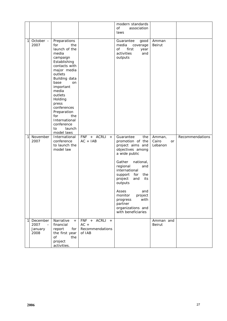|                   |                                                 |                                                                                                                                                                                                                                                                                                                          |                                                      | modern standards<br>οf<br>association<br>laws                                                                                                                                                                                                                                                                                         |                                  |                 |
|-------------------|-------------------------------------------------|--------------------------------------------------------------------------------------------------------------------------------------------------------------------------------------------------------------------------------------------------------------------------------------------------------------------------|------------------------------------------------------|---------------------------------------------------------------------------------------------------------------------------------------------------------------------------------------------------------------------------------------------------------------------------------------------------------------------------------------|----------------------------------|-----------------|
| 1<br>2007         | October $-$                                     | Preparations<br>the<br>for<br>launch of the<br>media<br>campaign<br>Establishing<br>contacts with<br>major media<br>outlets<br>Building data<br>base<br>on<br>important<br>media<br>outlets<br>Holding<br>press<br>conferences<br>Preparation<br>for<br>the<br>International<br>conference<br>launch<br>to<br>model laws |                                                      | Guarantee<br>good<br>media<br>coverage<br>of<br>first<br>year<br>activities<br>and<br>outputs                                                                                                                                                                                                                                         | Amman<br>Beirut                  |                 |
| 1<br>2007         | November                                        | International<br>conference<br>to launch the<br>model law                                                                                                                                                                                                                                                                | FNF + ACRLI +<br>$AC + IAB$                          | Guarantee<br>the<br>promotion of the<br>project aims and<br>objectives among<br>a wide public<br>Gather<br>national,<br>regional<br>and<br>international<br>for<br>support<br>the<br>and<br>project<br>its<br>outputs<br>Asses<br>and<br>monitor<br>project<br>with<br>progress<br>partner<br>organizations and<br>with beneficiaries | Amman,<br>Cairo<br>or<br>Lebanon | Recommendations |
| 1<br>2007<br>2008 | December<br>$\overline{\phantom{0}}$<br>January | Narrative<br>$+$<br>financial<br>report<br>for<br>the first year<br>of<br>the<br>project<br>activities.                                                                                                                                                                                                                  | FNF + ACRLI +<br>$AC +$<br>Recommendations<br>of IAB |                                                                                                                                                                                                                                                                                                                                       | Amman and<br>Beirut              |                 |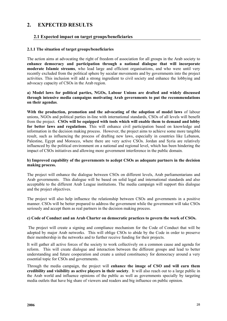# **2. EXPECTED RESULTS**

## **2.1 Expected impact on target groups/beneficiaries**

## **2.1.1 The situation of target groups/beneficiaries**

The action aims at advocating the right of freedom of association for all groups in the Arab society to **enhance democracy and participation through a national dialogue that will incorporate moderate Islamic streams**, who lead large and efficient organisations, and who were until very recently excluded from the political sphere by secular movements and by governments into the project activities. This inclusion will add a strong ingredient to civil society and enhance the lobbying and advocacy capacity of CSOs in the Arab region.

## **a) Model laws for political parties, NGOs, Labour Unions are drafted and widely discussed through intensive media campaigns motivating Arab governments to put the recommendations on their agendas**.

**With the production, promotion and the advocating of the adoption of model laws** of labour unions, NGOs and political parties in-line with international standards, CSOs of all levels will benefit from the project. **CSOs will be equipped with tools which will enable them to demand and lobby for better laws and regulations**. This will enhance civil participation based on knowledge and information in the decision making process. However, the project aims to achieve some more tangible result, such as influencing the process of drafting new laws, especially in countries like Lebanon, Palestine, Egypt and Morocco, where there are very active CSOs. Jordan and Syria are relatively influenced by the political environment on a national and regional level, which has been hindering the impact of CSOs initiatives and allowing more government interference in the public domain.

#### **b) Improved capability of the governments to acdept CSOs as adequate partners in the decision making process.**

The project will enhance the dialogue between CSOs on different levels, Arab parliamentarians and Arab governments. This dialogue will be based on solid legal and international standards and also acceptable to the different Arab League institutions. The media campaign will support this dialogue and the project objectives.

The project will also help influence the relationship between CSOs and governments in a positive manner. CSOs will be better prepared to address the government while the government will take CSOs seriously and accept them as real partners in the decision making process.

#### **c) Code of Conduct and an Arab Charter on democratic practices to govern the work of CSOs.**

The project will create a signing and compliance mechanism for the Code of Conduct that will be adopted by major Arab networks. This will oblige CSOs to abide by the Code in order to preserve their membership in the networks and to further receive funding for their projects.

It will gather all active forces of the society to work collectively on a common cause and agenda for reform. This will create dialogue and interaction between the different groups and lead to better understanding and future cooperation and create a united constituency for democracy around a very essential topic for CSOs and governments.

Through the media campaign, the project will **enhance the image of CSO and will earn them credibility and visibility as active players in their society**. It will also reach out to a large public in the Arab world and influence opinions of the public as well as governments specially by targeting media outlets that have big share of viewers and readers and big influence on public opinion.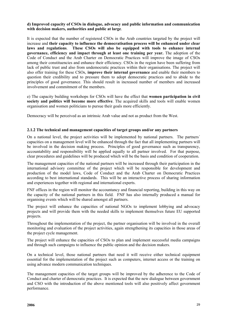## **d) Improved capacity of CSOs in dialogue, advocacy and public information and communication with decision makers, authorities and public at large**.

It is expected that the number of registered CSOs in the Arab countries targeted by the project will increase and **their capacity to influence the democratisation process will be enhanced under clear laws and regulations**. **These CSOs will also be equipped with tools to enhance internal governance, efficiency and impact through at least one training per year.** The adoption of the Code of Conduct and the Arab Charter on Democratic Practices will improve the image of CSOs among their constituencies and enhance their efficiency. CSOs in the region have been suffering from lack of public trust and also from undemocratic practices within their organisations. The project will also offer training for these CSOs, **improve their internal governance** and enable their members to question their credibility and to pressure them to adopt democratic practices and to abide to the principles of good governance. This should result in increased number of members and increased involvement and commitment of the members.

e) The capacity building workshops for CSOs will have the effect that **women participation in civil society and politics will become more effective**. The acquired skills and tools will enable women organisation and women politicians to pursue their goals more efficiently.

Democracy will be perceived as an intrinsic Arab value and not as product from the West.

## **2.1.2 The technical and management capacities of target groups and/or any partners**

On a national level, the project activities will be implemented by national partners. The partners´ capacities on a management level will be enhanced through the fact that all implementing partners will be involved in the decision making process. Principles of good governance such as transparency, accountability and responsibility will be applied equally to all partner involved. For that purpose, clear procedures and guidelines will be produced which will be the basis and condition of cooperation.

The management capacities of the national partners will be increased through their participation in the international advisory committee of the project which will be responsible for development and production of the model laws, Code of Conduct and the Arab Charter on Democratic Practices according to best international standards. This will be an interactive process of sharing information and experiences together with regional and international experts.

FNF offices in the region will monitor the accountancy and financial reporting, building in this way on the capacity of the national partners in this field. FNF has also internally produced a manual for organising events which will be shared amongst all partners.

The project will enhance the capacities of national NGOs to implement lobbying and advocacy projects and will provide them with the needed skills to implement themselves future EU supported projects.

Throughout the implementation of the project, the partner organisation will be involved in the overall monitoring and evaluation of the project activities, again strengthening its capacities in those areas of the project cycle management.

The project will enhance the capacities of CSOs to plan and implement successful media campaigns and through such campaigns to influence the public opinion and the decision makers.

On a technical level, those national partners that need it will receive either technical equipment essential for the implementation of the project such as computers, internet access or the training on using advance modern communication techniques.

The management capacities of the target groups will be improved by the adherence to the Code of Conduct and charter of democratic practices. It is expected that the new dialogue between government and CSO with the introduction of the above mentioned tools will also positively affect government performance.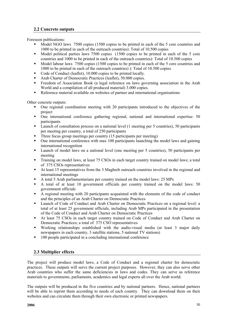## **2.2 Concrete outputs**

Foreseen publications:

- Model NGO laws 7500 copies (1500 copies to be printed in each of the 5 core countries and 1000 to be printed in each of the outreach countries): Total of 10.500 copies
- Model political parties laws 7500 copies (1500 copies to be printed in each of the 5 core countries and 1000 to be printed in each of the outreach countries): Total of 10.500 copies
- Model labour laws 7500 copies (1500 copies to be printed in each of the 5 core countries and 1000 to be printed in each of the outreach countries) ): Total of 10.500 copies
- Code of Conduct (leaflet), 10.000 copies to be printed locally.
- Arab Charter of Democratic Practices (leaflet), 50.000 copies.
- Freedom of Association Book (a legal reference on laws governing association in the Arab World and a compilation of all produced material) 3.000 copies.
- Reference material available on websites of partner and international organisations

Other concrete outputs:

- One regional coordination meeting with 20 participants introduced to the objectives of the project
- One international conference gathering regional, national and international expertise: 50 participants
- **Example 1** Launch of consultation process on a national level (1 meeting per 5 countries), 50 participants per meeting per country, a total of 250 participants
- Three focus group meetings per country (15 participants per meeting)
- One international conference with max 100 participants launching the model laws and gaining international recognition
- Launch of model laws on a national level (one meeting per 5 countries), 50 participants per meeting
- Training on model laws, at least 75 CSOs in each target country trained on model laws; a total of 375 CSOs representatives
- At least 15 representatives from the 3 Maghreb outreach countries involved in the regional and international meetings
- A total 5 Arab parliamentarians per country trained on the model laws: 25 MPs
- A total of at least 10 government officials per country trained on the model laws: 50 government officials
- A regional meeting with 20 participants acquainted with the elements of the code of conduct and the principles of an Arab Charter on Democratic Practices
- Launch of Code of Conduct and Arab Charter on Democratic Practices on a regional level: a total of at least 25 government officials, including Arab MPs participated in the presentation of the Code of Conduct and Arab Charter on Democratic Practices
- At least 75 CSOs in each target country trained on Code of Conduct and Arab Charter on Democratic Practices; a total of 375 CSO representatives
- Working relationships established with the audio-visual media (at least 3 major daily newspapers in each country, 3 satellite stations, 5 national TV stations)
- 100 people participated in a concluding international conference

## **2.3 Multiplier effects**

The project will produce model laws, a Code of Conduct and a regional charter for democratic practices. These outputs will serve the current project purposes. However, they can also serve other Arab countries who suffer the same deficiencies in laws and codes. They can serve as reference materials to governments, parliaments, academics and legal experts all over the Arab world.

The outputs will be produced in the five countries and by national partners. Hence, national partners will be able to reprint them according to needs of each country. They can download them on their websites and can circulate them through their own electronic or printed newspapers.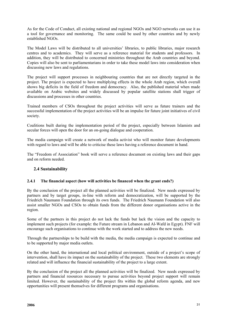As for the Code of Conduct, all existing national and regional NGOs and NGO networks can use it as a tool for governance and monitoring. The same could be used by other countries and by newly established NGOs.

The Model Laws will be distributed to all universities' libraries, to public libraries, major research centres and to academics. They will serve as a reference material for students and professors. In addition, they will be distributed to concerned ministries throughout the Arab countries and beyond. Copies will also be sent to parliamentarians in order to take these model laws into consideration when discussing new laws and regulations.

The project will support processes in neighbouring countries that are not directly targeted in the project. The project is expected to have multiplying effects in the whole Arab region, which overall shows big deficits in the field of freedom and democracy. Also, the published material when made available on Arabic websites and widely discussed by popular satellite stations shall trigger of discussions and processes in other countries.

Trained members of CSOs throughout the project activities will serve as future trainers and the successful implementation of the project activities will be an impulse for future joint initiatives of civil society.

Coalitions built during the implementation period of the project, especially between Islamists and secular forces will open the door for an on-going dialogue and cooperation.

The media campaign will create a network of media activist who will monitor future developments with regard to laws and will be able to criticise these laws having a reference document in hand.

The "Freedom of Association" book will serve a reference document on existing laws and their gaps and on reform needed.

## **2.4 Sustainability**

## **2.4.1 The financial aspect (how will activities be financed when the grant ends?)**

By the conclusion of the project all the planned activities will be finalized. New needs expressed by partners and by target groups, in-line with reform and democratization, will be supported by the Friedrich Naumann Foundation through its own funds. The Friedrich Naumann Foundation will also assist smaller NGOs and CSOs to obtain funds from the different donor organisations active in the region.

Some of the partners in this project do not lack the funds but lack the vision and the capacity to implement such projects (for example: the Future stream in Lebanon and Al-Wafd in Egypt). FNF will encourage such organisations to continue with the work started and to address the new needs.

Through the partnerships to be build with the media, the media campaign is expected to continue and to be supported by major media outlets.

On the other hand, the international and local political environment, outside of a project's scope of intervention, shall have its impact on the sustainability of the project. These two elements are strongly related and will influence the financial sustainability of the project to a large extent.

By the conclusion of the project all the planned activities will be finalized. New needs expressed by partners and financial resources necessary to pursue activities beyond project support will remain limited. However, the sustainability of the project fits within the global reform agenda, and new opportunities will present themselves for different programs and organisations.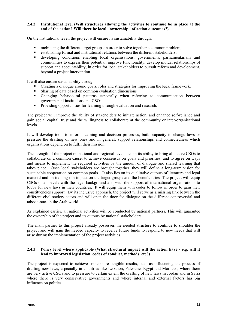## **2.4.2 Institutional level (Will structures allowing the activities to continue be in place at the end of the action? Will there be local "ownership" of action outcomes?)**

On the institutional level, the project will ensure its sustainability through:

- mobilising the different target groups in order to solve together a common problem;
- establishing formal and institutional relations between the different stakeholders;
- developing conditions enabling local organisations, governments, parliamentarians and communities to express their potential, improve functionality, develop mutual relationships of support and accountability, in order for local stakeholders to pursuit reform and development, beyond a project intervention.

It will also ensure sustainability through

- Creating a dialogue around goals, roles and strategies for improving the legal framework.
- Sharing of data based on common evaluation dimensions
- Changing behavioural patterns especially when referring to communication between governmental institutions and CSOs
- **Providing opportunities for learning through evaluation and research.**

The project will improve the ability of stakeholders to initiate action, and enhance self-reliance and gain social capital, trust and the willingness to collaborate at the community or inter-organisational levels

It will develop tools to inform learning and decision processes, build capacity to change laws or pressure the drafting of new ones and in general, support relationships and connectedness which organisations depend on to fulfil their mission.

The strength of the project on national and regional levels lies in its ability to bring all active CSOs to collaborate on a common cause, to achieve consensus on goals and priorities, and to agree on ways and means to implement the required activities by the amount of dialogue and shared learning that takes place. Once local stakeholders are brought together, they will define a long-term vision for sustainable cooperation on common goals. It also lies on its qualitative outputs of literature and legal material and on its long run impact on the target groups and the beneficiaries. The project will equip CSOs of all levels with the legal background and with the support of international organisations to lobby for new laws in their countries. It will equip them with codes to follow in order to gain their constituencies support. By its inclusive approach, the project will serve as a missing link between the different civil society actors and will open the door for dialogue on the different controversial and taboo issues in the Arab world.

As explained earlier, all national activities will be conducted by national partners. This will guarantee the ownership of the project and its outputs by national stakeholders.

The main partner to this project already possesses the needed structure to continue to shoulder the project and will gain the needed capacity to receive future funds to respond to new needs that will arise during the implementation of the project activities.

#### **2.4.3 Policy level where applicable (What structural impact will the action have - e.g. will it lead to improved legislation, codes of conduct, methods, etc?)**

The project is expected to achieve some more tangible results, such as influencing the process of drafting new laws, especially in countries like Lebanon, Palestine, Egypt and Morocco, where there are very active CSOs and to pressure to certain extent the drafting of new laws in Jordan and in Syria where there is very conservative governments and where internal and external factors has big influence on politics.